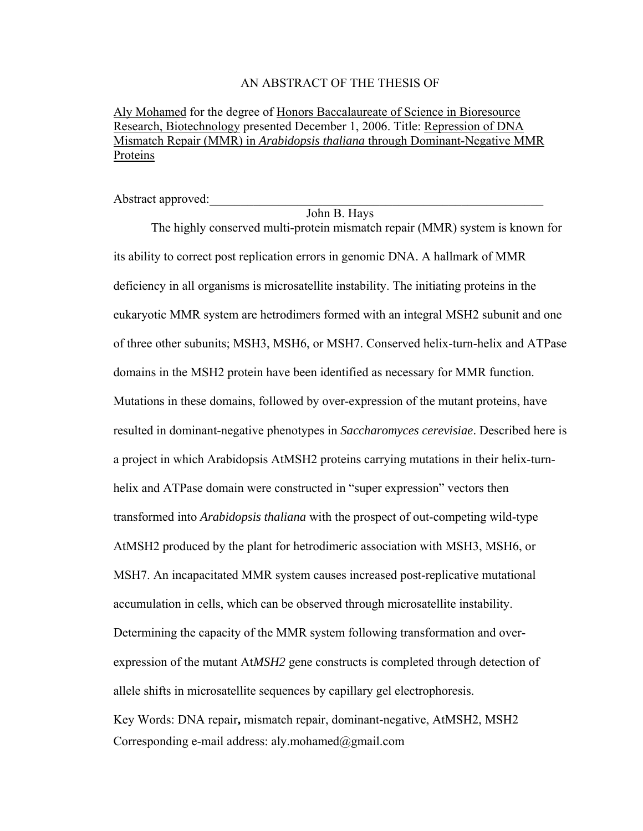#### AN ABSTRACT OF THE THESIS OF

Aly Mohamed for the degree of Honors Baccalaureate of Science in Bioresource Research, Biotechnology presented December 1, 2006. Title: Repression of DNA Mismatch Repair (MMR) in *Arabidopsis thaliana* through Dominant-Negative MMR Proteins

Abstract approved:

John B. Hays

The highly conserved multi-protein mismatch repair (MMR) system is known for its ability to correct post replication errors in genomic DNA. A hallmark of MMR deficiency in all organisms is microsatellite instability. The initiating proteins in the eukaryotic MMR system are hetrodimers formed with an integral MSH2 subunit and one of three other subunits; MSH3, MSH6, or MSH7. Conserved helix-turn-helix and ATPase domains in the MSH2 protein have been identified as necessary for MMR function. Mutations in these domains, followed by over-expression of the mutant proteins, have resulted in dominant-negative phenotypes in *Saccharomyces cerevisiae*. Described here is a project in which Arabidopsis AtMSH2 proteins carrying mutations in their helix-turnhelix and ATPase domain were constructed in "super expression" vectors then transformed into *Arabidopsis thaliana* with the prospect of out-competing wild-type AtMSH2 produced by the plant for hetrodimeric association with MSH3, MSH6, or MSH7. An incapacitated MMR system causes increased post-replicative mutational accumulation in cells, which can be observed through microsatellite instability. Determining the capacity of the MMR system following transformation and overexpression of the mutant At*MSH2* gene constructs is completed through detection of allele shifts in microsatellite sequences by capillary gel electrophoresis. Key Words: DNA repair**,** mismatch repair, dominant-negative, AtMSH2, MSH2 Corresponding e-mail address: aly.mohamed@gmail.com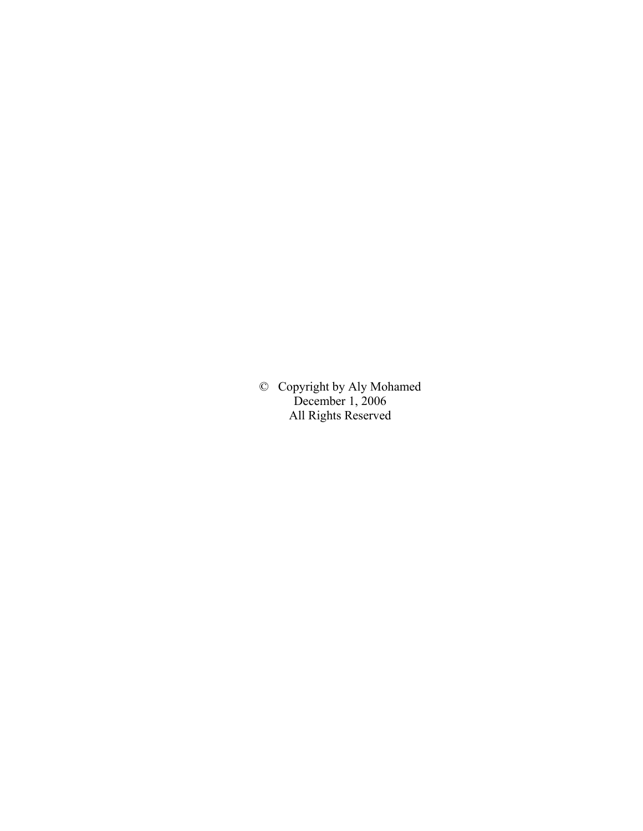© Copyright by Aly Mohamed December 1, 2006 All Rights Reserved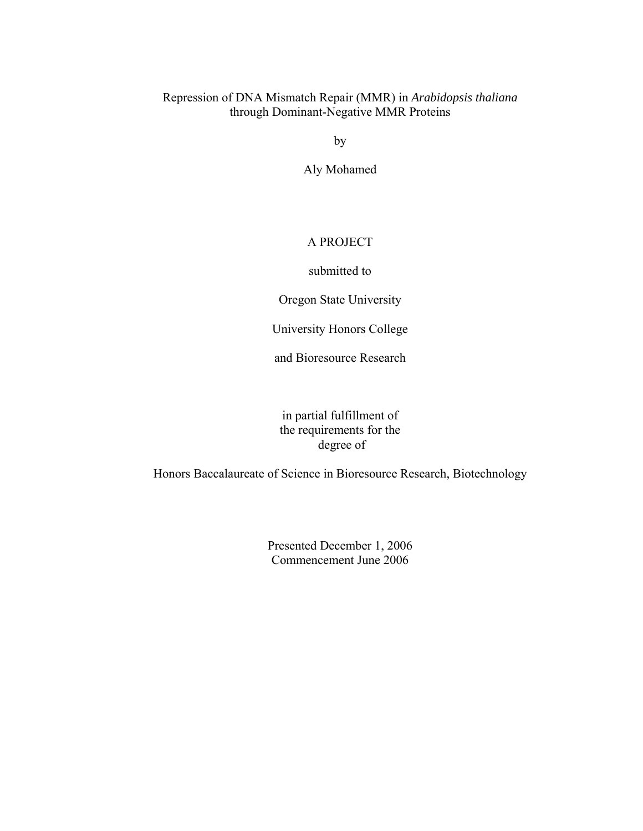## Repression of DNA Mismatch Repair (MMR) in *Arabidopsis thaliana* through Dominant-Negative MMR Proteins

by

Aly Mohamed

### A PROJECT

submitted to

Oregon State University

University Honors College

and Bioresource Research

in partial fulfillment of the requirements for the degree of

Honors Baccalaureate of Science in Bioresource Research, Biotechnology

Presented December 1, 2006 Commencement June 2006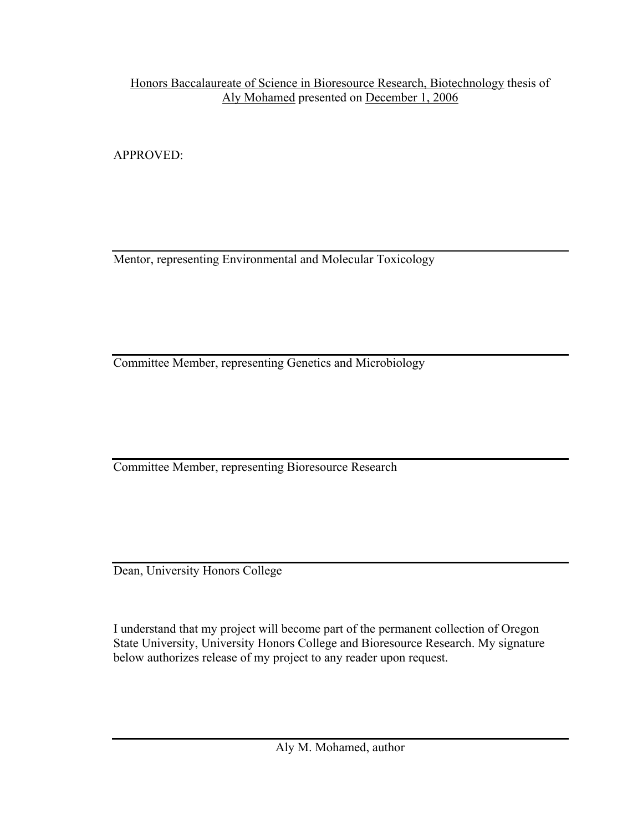Honors Baccalaureate of Science in Bioresource Research, Biotechnology thesis of Aly Mohamed presented on December 1, 2006

APPROVED:

Mentor, representing Environmental and Molecular Toxicology

Committee Member, representing Genetics and Microbiology

Committee Member, representing Bioresource Research

Dean, University Honors College

I understand that my project will become part of the permanent collection of Oregon State University, University Honors College and Bioresource Research. My signature below authorizes release of my project to any reader upon request.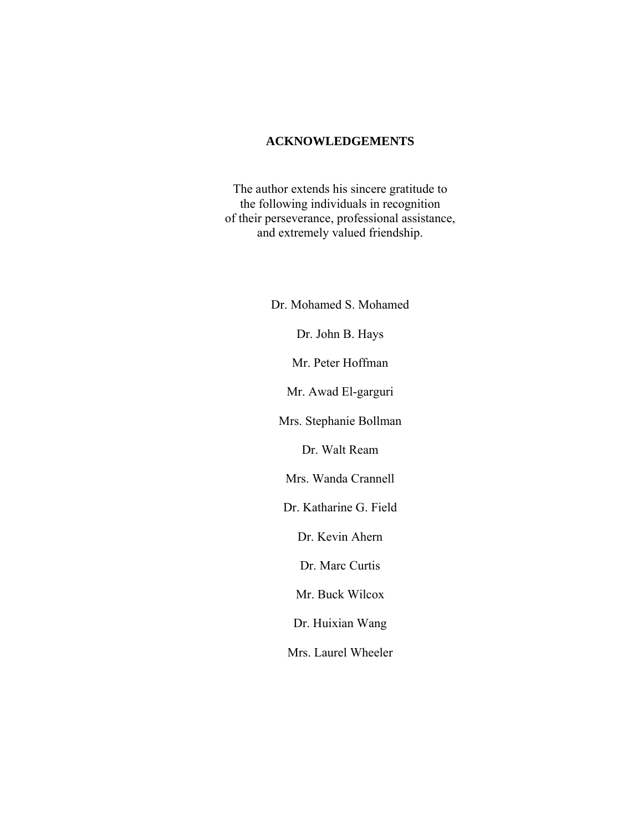## **ACKNOWLEDGEMENTS**

The author extends his sincere gratitude to the following individuals in recognition of their perseverance, professional assistance, and extremely valued friendship.

> Dr. Mohamed S. Mohamed Dr. John B. Hays Mr. Peter Hoffman Mr. Awad El-garguri Mrs. Stephanie Bollman Dr. Walt Ream Mrs. Wanda Crannell Dr. Katharine G. Field Dr. Kevin Ahern Dr. Marc Curtis Mr. Buck Wilcox Dr. Huixian Wang Mrs. Laurel Wheeler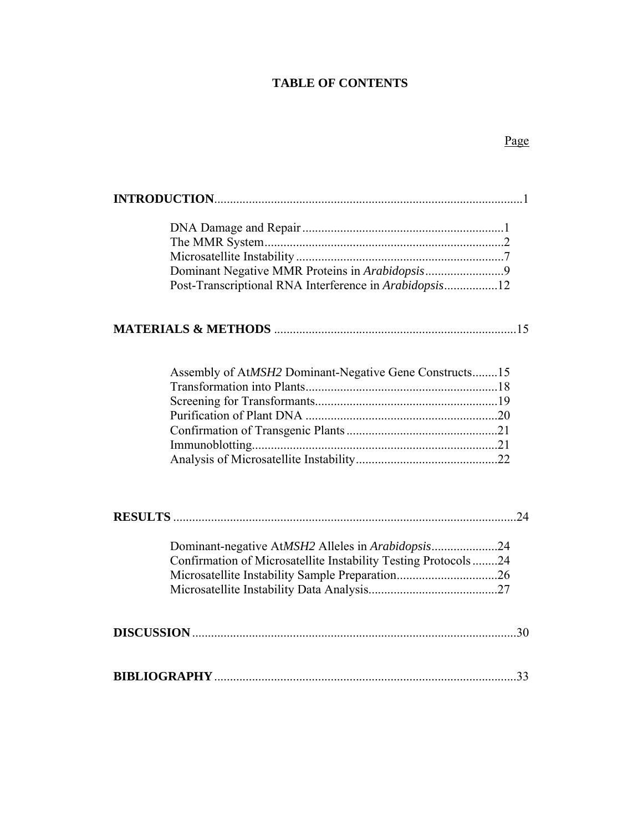# **TABLE OF CONTENTS**

# Page

| Post-Transcriptional RNA Interference in Arabidopsis12          |
|-----------------------------------------------------------------|
|                                                                 |
|                                                                 |
| Assembly of AtMSH2 Dominant-Negative Gene Constructs15          |
|                                                                 |
|                                                                 |
|                                                                 |
|                                                                 |
|                                                                 |
|                                                                 |
| 24                                                              |
| Dominant-negative AtMSH2 Alleles in Arabidopsis24               |
| Confirmation of Microsatellite Instability Testing Protocols 24 |
|                                                                 |
|                                                                 |
|                                                                 |
|                                                                 |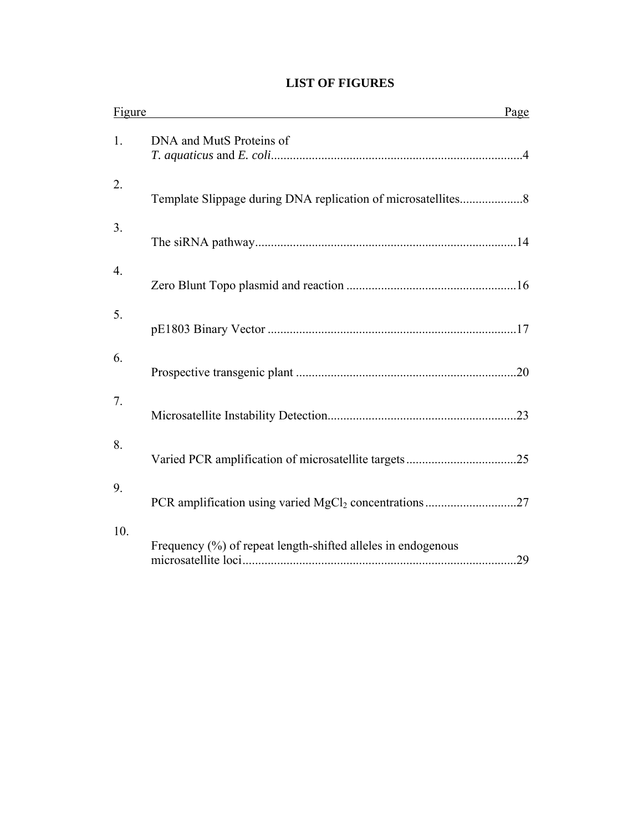# **LIST OF FIGURES**

| Figure | Page                                                                |  |
|--------|---------------------------------------------------------------------|--|
| 1.     | DNA and MutS Proteins of                                            |  |
| 2.     |                                                                     |  |
| 3.     |                                                                     |  |
| 4.     |                                                                     |  |
| 5.     |                                                                     |  |
| 6.     |                                                                     |  |
| 7.     |                                                                     |  |
| 8.     |                                                                     |  |
| 9.     | PCR amplification using varied MgCl <sub>2</sub> concentrations27   |  |
| 10.    | Frequency (%) of repeat length-shifted alleles in endogenous<br>.29 |  |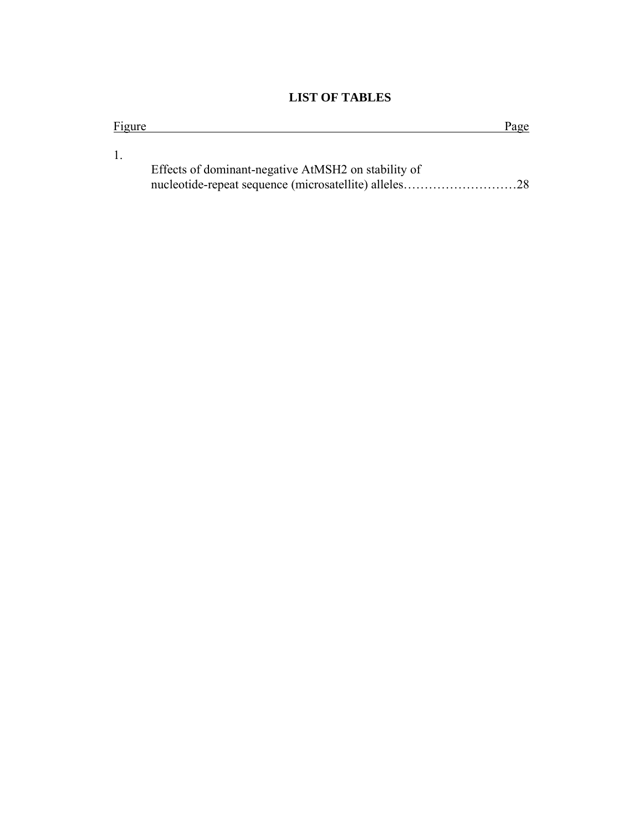# **LIST OF TABLES**

nucleotide-repeat sequence (microsatellite) alleles………………………28

| Figure |                                                     | Page |
|--------|-----------------------------------------------------|------|
|        |                                                     |      |
|        |                                                     |      |
|        | Effects of dominant-negative AtMSH2 on stability of |      |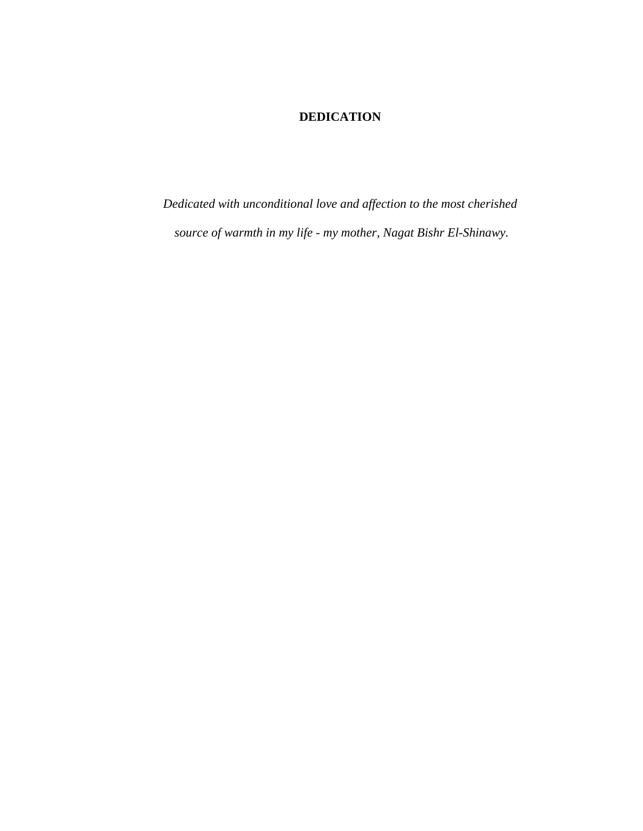# **DEDICATION**

*Dedicated with unconditional love and affection to the most cherished source of warmth in my life - my mother, Nagat Bishr El-Shinawy.*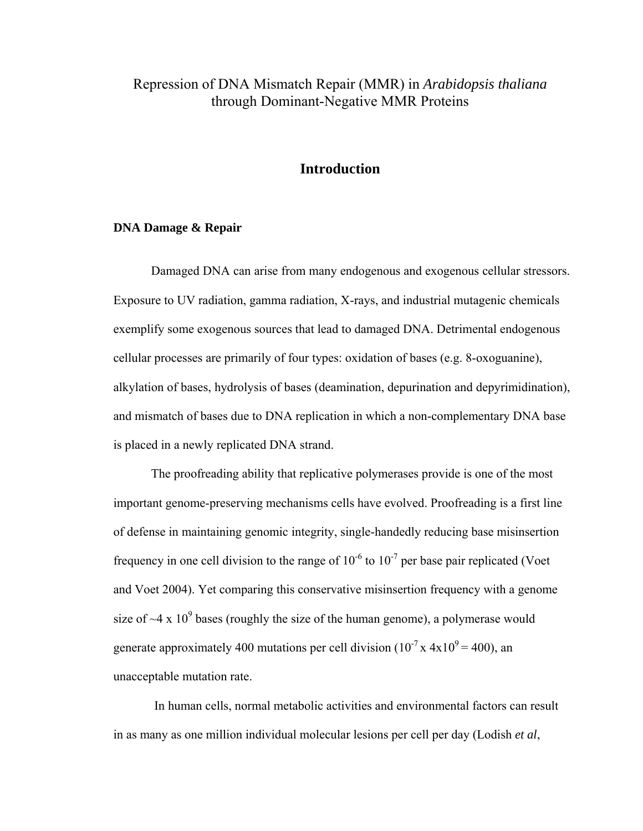# Repression of DNA Mismatch Repair (MMR) in *Arabidopsis thaliana*  through Dominant-Negative MMR Proteins

## **Introduction**

### **DNA Damage & Repair**

Damaged DNA can arise from many endogenous and exogenous cellular stressors. Exposure to UV radiation, gamma radiation, X-rays, and industrial mutagenic chemicals exemplify some exogenous sources that lead to damaged DNA. Detrimental endogenous cellular processes are primarily of four types: oxidation of bases (e.g. 8-oxoguanine), alkylation of bases, hydrolysis of bases (deamination, depurination and depyrimidination), and mismatch of bases due to DNA replication in which a non-complementary DNA base is placed in a newly replicated DNA strand.

The proofreading ability that replicative polymerases provide is one of the most important genome-preserving mechanisms cells have evolved. Proofreading is a first line of defense in maintaining genomic integrity, single-handedly reducing base misinsertion frequency in one cell division to the range of  $10^{-6}$  to  $10^{-7}$  per base pair replicated (Voet and Voet 2004). Yet comparing this conservative misinsertion frequency with a genome size of  $\sim$ 4 x 10<sup>9</sup> bases (roughly the size of the human genome), a polymerase would generate approximately 400 mutations per cell division  $(10^{-7} \text{ x } 4 \text{ x } 10^{9} = 400)$ , an unacceptable mutation rate.

 In human cells, normal metabolic activities and environmental factors can result in as many as one million individual molecular lesions per cell per day (Lodish *et al*,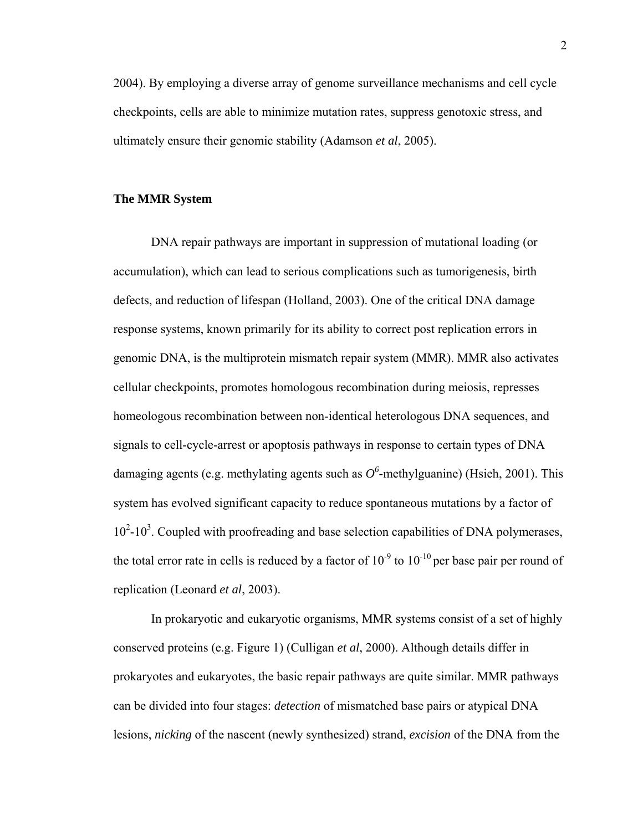2004). By employing a diverse array of genome surveillance mechanisms and cell cycle checkpoints, cells are able to minimize mutation rates, suppress genotoxic stress, and ultimately ensure their genomic stability (Adamson *et al*, 2005).

#### **The MMR System**

DNA repair pathways are important in suppression of mutational loading (or accumulation), which can lead to serious complications such as tumorigenesis, birth defects, and reduction of lifespan (Holland, 2003). One of the critical DNA damage response systems, known primarily for its ability to correct post replication errors in genomic DNA, is the multiprotein mismatch repair system (MMR). MMR also activates cellular checkpoints, promotes homologous recombination during meiosis, represses homeologous recombination between non-identical heterologous DNA sequences, and signals to cell-cycle-arrest or apoptosis pathways in response to certain types of DNA damaging agents (e.g. methylating agents such as  $O^6$ -methylguanine) (Hsieh, 2001). This system has evolved significant capacity to reduce spontaneous mutations by a factor of  $10^2$ -10<sup>3</sup>. Coupled with proofreading and base selection capabilities of DNA polymerases, the total error rate in cells is reduced by a factor of  $10^{-9}$  to  $10^{-10}$  per base pair per round of replication (Leonard *et al*, 2003).

In prokaryotic and eukaryotic organisms, MMR systems consist of a set of highly conserved proteins (e.g. Figure 1) (Culligan *et al*, 2000). Although details differ in prokaryotes and eukaryotes, the basic repair pathways are quite similar. MMR pathways can be divided into four stages: *detection* of mismatched base pairs or atypical DNA lesions, *nicking* of the nascent (newly synthesized) strand, *excision* of the DNA from the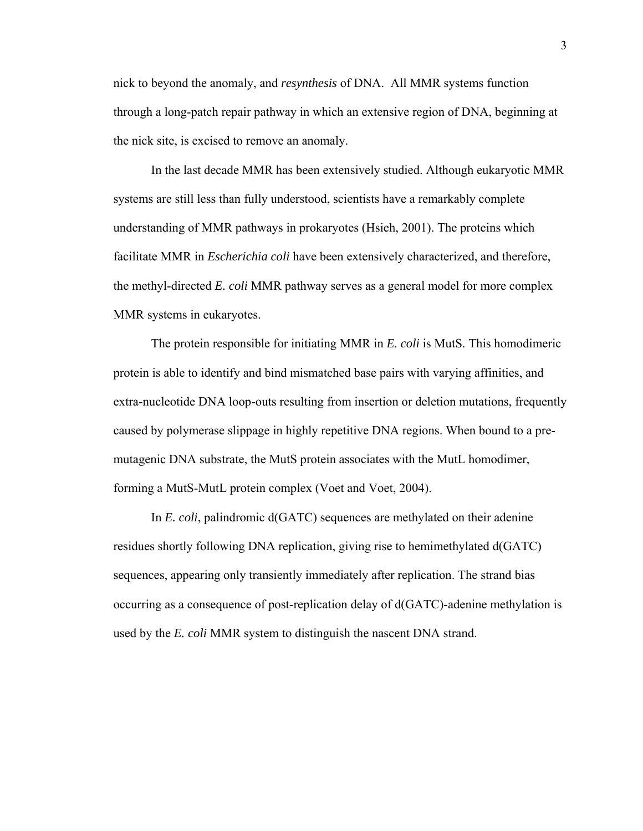nick to beyond the anomaly, and *resynthesis* of DNA. All MMR systems function through a long-patch repair pathway in which an extensive region of DNA, beginning at the nick site, is excised to remove an anomaly.

In the last decade MMR has been extensively studied. Although eukaryotic MMR systems are still less than fully understood, scientists have a remarkably complete understanding of MMR pathways in prokaryotes (Hsieh, 2001). The proteins which facilitate MMR in *Escherichia coli* have been extensively characterized, and therefore, the methyl-directed *E. coli* MMR pathway serves as a general model for more complex MMR systems in eukaryotes.

The protein responsible for initiating MMR in *E. coli* is MutS. This homodimeric protein is able to identify and bind mismatched base pairs with varying affinities, and extra-nucleotide DNA loop-outs resulting from insertion or deletion mutations, frequently caused by polymerase slippage in highly repetitive DNA regions. When bound to a premutagenic DNA substrate, the MutS protein associates with the MutL homodimer, forming a MutS-MutL protein complex (Voet and Voet, 2004).

In *E. coli*, palindromic d(GATC) sequences are methylated on their adenine residues shortly following DNA replication, giving rise to hemimethylated d(GATC) sequences, appearing only transiently immediately after replication. The strand bias occurring as a consequence of post-replication delay of d(GATC)-adenine methylation is used by the *E. coli* MMR system to distinguish the nascent DNA strand.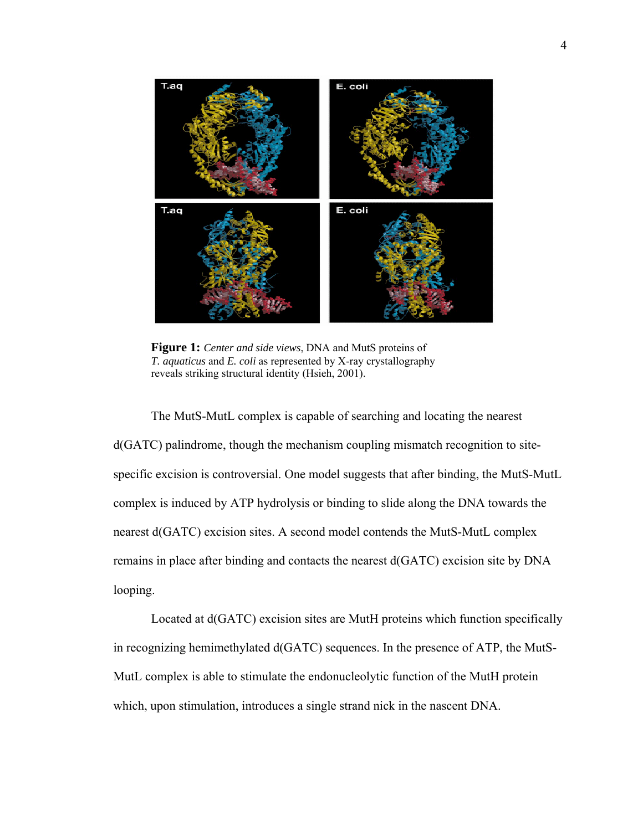

**Figure 1:** *Center and side views*, DNA and MutS proteins of *T. aquaticus* and *E. coli* as represented by X-ray crystallography reveals striking structural identity (Hsieh, 2001).

The MutS-MutL complex is capable of searching and locating the nearest d(GATC) palindrome, though the mechanism coupling mismatch recognition to sitespecific excision is controversial. One model suggests that after binding, the MutS-MutL complex is induced by ATP hydrolysis or binding to slide along the DNA towards the nearest d(GATC) excision sites. A second model contends the MutS-MutL complex remains in place after binding and contacts the nearest d(GATC) excision site by DNA looping.

Located at d(GATC) excision sites are MutH proteins which function specifically in recognizing hemimethylated d(GATC) sequences. In the presence of ATP, the MutS-MutL complex is able to stimulate the endonucleolytic function of the MutH protein which, upon stimulation, introduces a single strand nick in the nascent DNA.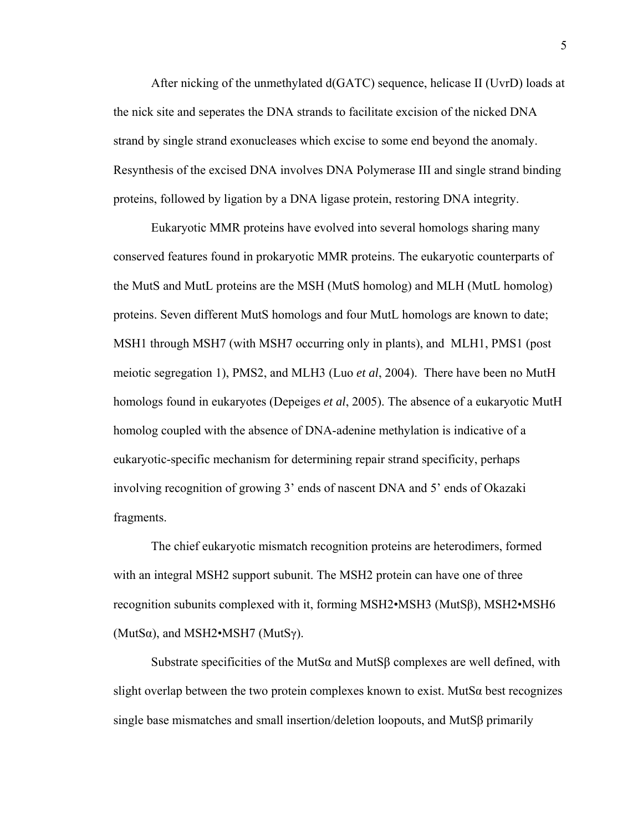After nicking of the unmethylated d(GATC) sequence, helicase II (UvrD) loads at the nick site and seperates the DNA strands to facilitate excision of the nicked DNA strand by single strand exonucleases which excise to some end beyond the anomaly. Resynthesis of the excised DNA involves DNA Polymerase III and single strand binding proteins, followed by ligation by a DNA ligase protein, restoring DNA integrity.

Eukaryotic MMR proteins have evolved into several homologs sharing many conserved features found in prokaryotic MMR proteins. The eukaryotic counterparts of the MutS and MutL proteins are the MSH (MutS homolog) and MLH (MutL homolog) proteins. Seven different MutS homologs and four MutL homologs are known to date; MSH1 through MSH7 (with MSH7 occurring only in plants), and MLH1, PMS1 (post meiotic segregation 1), PMS2, and MLH3 (Luo *et al*, 2004). There have been no MutH homologs found in eukaryotes (Depeiges *et al*, 2005). The absence of a eukaryotic MutH homolog coupled with the absence of DNA-adenine methylation is indicative of a eukaryotic-specific mechanism for determining repair strand specificity, perhaps involving recognition of growing 3' ends of nascent DNA and 5' ends of Okazaki fragments.

The chief eukaryotic mismatch recognition proteins are heterodimers, formed with an integral MSH2 support subunit. The MSH2 protein can have one of three recognition subunits complexed with it, forming MSH2•MSH3 (MutSβ), MSH2•MSH6 (MutS $\alpha$ ), and MSH2•MSH7 (MutS $\gamma$ ).

Substrate specificities of the MutS $\alpha$  and MutS $\beta$  complexes are well defined, with slight overlap between the two protein complexes known to exist. MutS $\alpha$  best recognizes single base mismatches and small insertion/deletion loopouts, and MutSβ primarily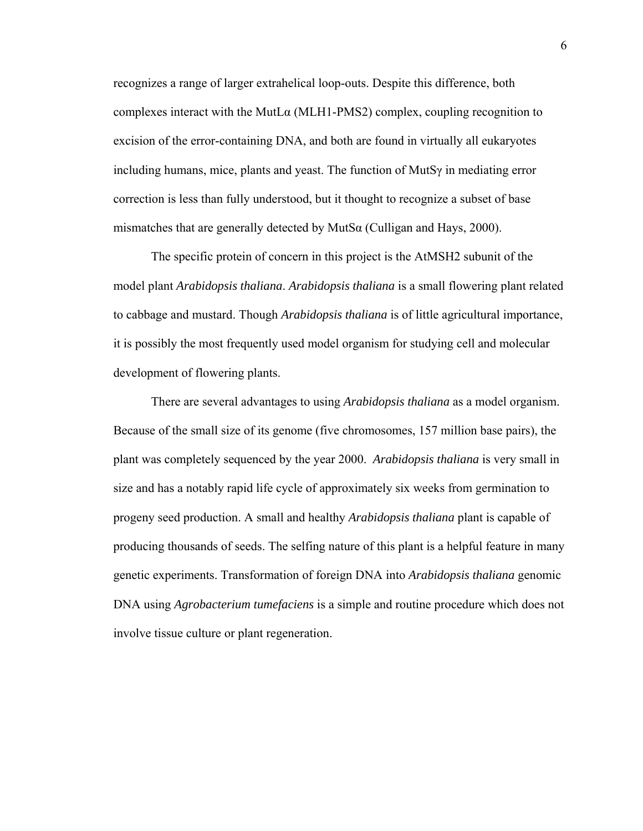recognizes a range of larger extrahelical loop-outs. Despite this difference, both complexes interact with the MutLα (MLH1-PMS2) complex, coupling recognition to excision of the error-containing DNA, and both are found in virtually all eukaryotes including humans, mice, plants and yeast. The function of MutSγ in mediating error correction is less than fully understood, but it thought to recognize a subset of base mismatches that are generally detected by MutS $\alpha$  (Culligan and Hays, 2000).

The specific protein of concern in this project is the AtMSH2 subunit of the model plant *Arabidopsis thaliana*. *Arabidopsis thaliana* is a small flowering plant related to cabbage and mustard. Though *Arabidopsis thaliana* is of little agricultural importance, it is possibly the most frequently used model organism for studying cell and molecular development of flowering plants.

There are several advantages to using *Arabidopsis thaliana* as a model organism. Because of the small size of its genome (five chromosomes, 157 million base pairs), the plant was completely sequenced by the year 2000. *Arabidopsis thaliana* is very small in size and has a notably rapid life cycle of approximately six weeks from germination to progeny seed production. A small and healthy *Arabidopsis thaliana* plant is capable of producing thousands of seeds. The selfing nature of this plant is a helpful feature in many genetic experiments. Transformation of foreign DNA into *Arabidopsis thaliana* genomic DNA using *Agrobacterium tumefaciens* is a simple and routine procedure which does not involve tissue culture or plant regeneration.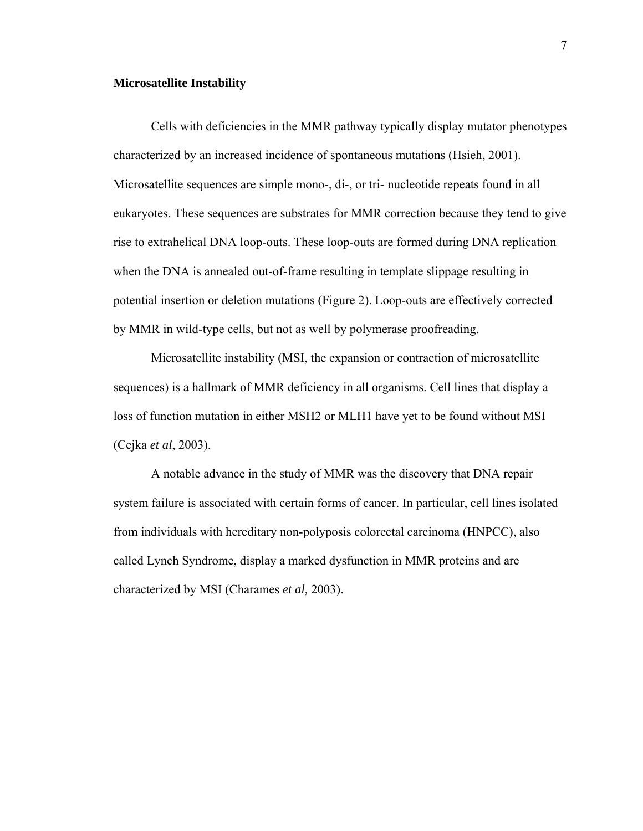#### **Microsatellite Instability**

Cells with deficiencies in the MMR pathway typically display mutator phenotypes characterized by an increased incidence of spontaneous mutations (Hsieh, 2001). Microsatellite sequences are simple mono-, di-, or tri- nucleotide repeats found in all eukaryotes. These sequences are substrates for MMR correction because they tend to give rise to extrahelical DNA loop-outs. These loop-outs are formed during DNA replication when the DNA is annealed out-of-frame resulting in template slippage resulting in potential insertion or deletion mutations (Figure 2). Loop-outs are effectively corrected by MMR in wild-type cells, but not as well by polymerase proofreading.

Microsatellite instability (MSI, the expansion or contraction of microsatellite sequences) is a hallmark of MMR deficiency in all organisms. Cell lines that display a loss of function mutation in either MSH2 or MLH1 have yet to be found without MSI (Cejka *et al*, 2003).

A notable advance in the study of MMR was the discovery that DNA repair system failure is associated with certain forms of cancer. In particular, cell lines isolated from individuals with hereditary non-polyposis colorectal carcinoma (HNPCC), also called Lynch Syndrome, display a marked dysfunction in MMR proteins and are characterized by MSI (Charames *et al,* 2003).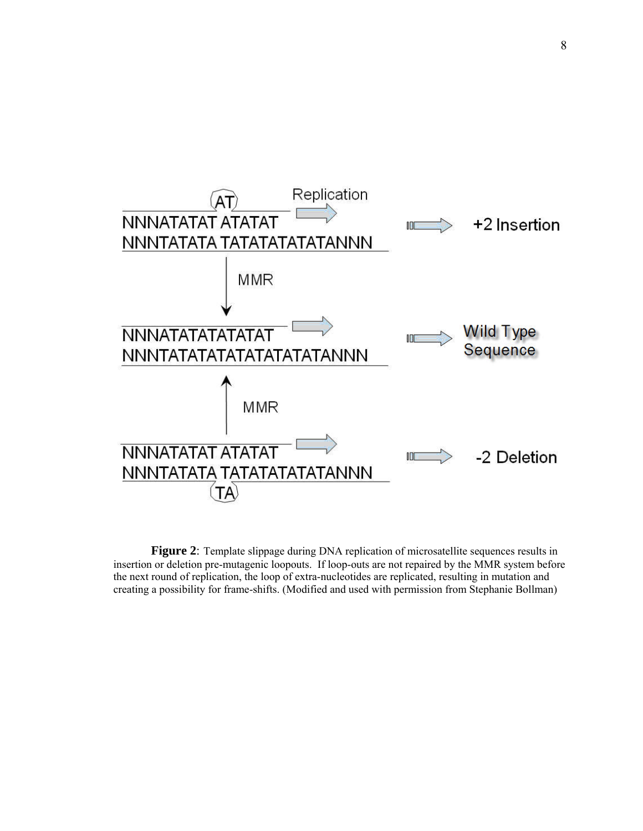

**Figure 2**: Template slippage during DNA replication of microsatellite sequences results in insertion or deletion pre-mutagenic loopouts. If loop-outs are not repaired by the MMR system before the next round of replication, the loop of extra-nucleotides are replicated, resulting in mutation and creating a possibility for frame-shifts. (Modified and used with permission from Stephanie Bollman)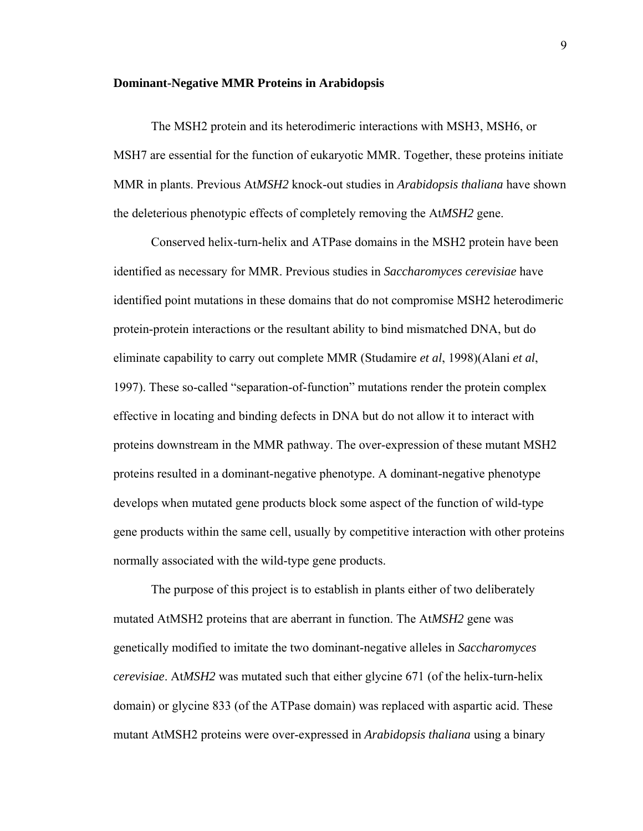#### **Dominant-Negative MMR Proteins in Arabidopsis**

The MSH2 protein and its heterodimeric interactions with MSH3, MSH6, or MSH7 are essential for the function of eukaryotic MMR. Together, these proteins initiate MMR in plants. Previous At*MSH2* knock-out studies in *Arabidopsis thaliana* have shown the deleterious phenotypic effects of completely removing the At*MSH2* gene.

Conserved helix-turn-helix and ATPase domains in the MSH2 protein have been identified as necessary for MMR. Previous studies in *Saccharomyces cerevisiae* have identified point mutations in these domains that do not compromise MSH2 heterodimeric protein-protein interactions or the resultant ability to bind mismatched DNA, but do eliminate capability to carry out complete MMR (Studamire *et al*, 1998)(Alani *et al*, 1997). These so-called "separation-of-function" mutations render the protein complex effective in locating and binding defects in DNA but do not allow it to interact with proteins downstream in the MMR pathway. The over-expression of these mutant MSH2 proteins resulted in a dominant-negative phenotype. A dominant-negative phenotype develops when mutated gene products block some aspect of the function of wild-type gene products within the same cell, usually by competitive interaction with other proteins normally associated with the wild-type gene products.

The purpose of this project is to establish in plants either of two deliberately mutated AtMSH2 proteins that are aberrant in function. The At*MSH2* gene was genetically modified to imitate the two dominant-negative alleles in *Saccharomyces cerevisiae*. At*MSH2* was mutated such that either glycine 671 (of the helix-turn-helix domain) or glycine 833 (of the ATPase domain) was replaced with aspartic acid. These mutant AtMSH2 proteins were over-expressed in *Arabidopsis thaliana* using a binary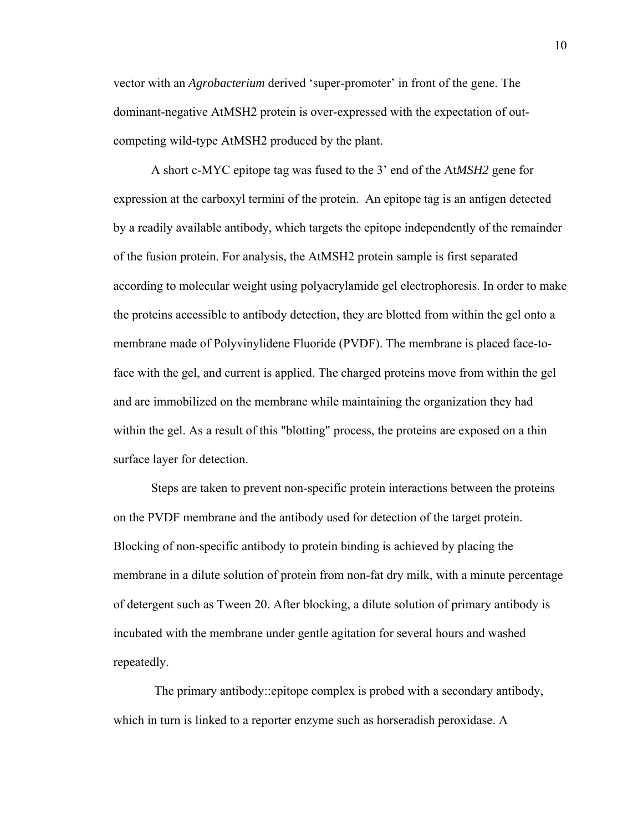vector with an *Agrobacterium* derived 'super-promoter' in front of the gene. The dominant-negative AtMSH2 protein is over-expressed with the expectation of outcompeting wild-type AtMSH2 produced by the plant.

A short c-MYC epitope tag was fused to the 3' end of the At*MSH2* gene for expression at the carboxyl termini of the protein. An epitope tag is an antigen detected by a readily available antibody, which targets the epitope independently of the remainder of the fusion protein. For analysis, the AtMSH2 protein sample is first separated according to molecular weight using polyacrylamide gel electrophoresis. In order to make the proteins accessible to antibody detection, they are blotted from within the gel onto a membrane made of Polyvinylidene Fluoride (PVDF). The membrane is placed face-toface with the gel, and current is applied. The charged proteins move from within the gel and are immobilized on the membrane while maintaining the organization they had within the gel. As a result of this "blotting" process, the proteins are exposed on a thin surface layer for detection.

Steps are taken to prevent non-specific protein interactions between the proteins on the PVDF membrane and the antibody used for detection of the target protein. Blocking of non-specific antibody to protein binding is achieved by placing the membrane in a dilute solution of protein from non-fat dry milk, with a minute percentage of detergent such as Tween 20. After blocking, a dilute solution of primary antibody is incubated with the membrane under gentle agitation for several hours and washed repeatedly.

 The primary antibody::epitope complex is probed with a secondary antibody, which in turn is linked to a reporter enzyme such as horseradish peroxidase. A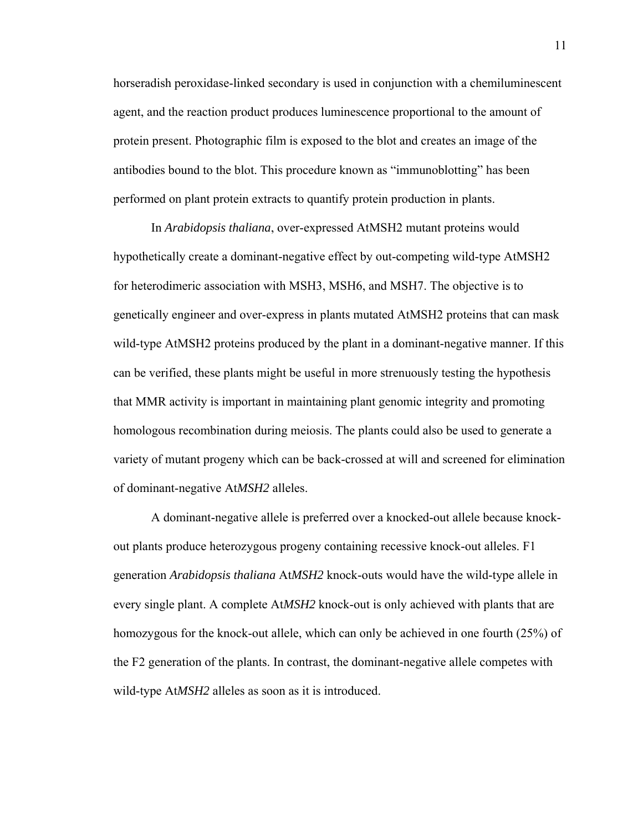horseradish peroxidase-linked secondary is used in conjunction with a chemiluminescent agent, and the reaction product produces luminescence proportional to the amount of protein present. Photographic film is exposed to the blot and creates an image of the antibodies bound to the blot. This procedure known as "immunoblotting" has been performed on plant protein extracts to quantify protein production in plants.

In *Arabidopsis thaliana*, over-expressed AtMSH2 mutant proteins would hypothetically create a dominant-negative effect by out-competing wild-type AtMSH2 for heterodimeric association with MSH3, MSH6, and MSH7. The objective is to genetically engineer and over-express in plants mutated AtMSH2 proteins that can mask wild-type AtMSH2 proteins produced by the plant in a dominant-negative manner. If this can be verified, these plants might be useful in more strenuously testing the hypothesis that MMR activity is important in maintaining plant genomic integrity and promoting homologous recombination during meiosis. The plants could also be used to generate a variety of mutant progeny which can be back-crossed at will and screened for elimination of dominant-negative At*MSH2* alleles.

A dominant-negative allele is preferred over a knocked-out allele because knockout plants produce heterozygous progeny containing recessive knock-out alleles. F1 generation *Arabidopsis thaliana* At*MSH2* knock-outs would have the wild-type allele in every single plant. A complete At*MSH2* knock-out is only achieved with plants that are homozygous for the knock-out allele, which can only be achieved in one fourth (25%) of the F2 generation of the plants. In contrast, the dominant-negative allele competes with wild-type At*MSH2* alleles as soon as it is introduced.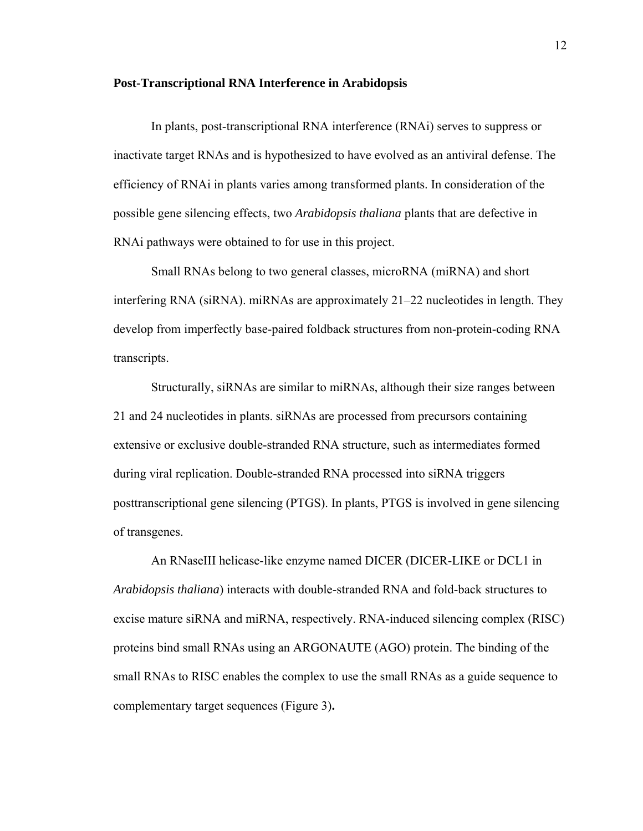#### **Post-Transcriptional RNA Interference in Arabidopsis**

In plants, post-transcriptional RNA interference (RNAi) serves to suppress or inactivate target RNAs and is hypothesized to have evolved as an antiviral defense. The efficiency of RNAi in plants varies among transformed plants. In consideration of the possible gene silencing effects, two *Arabidopsis thaliana* plants that are defective in RNAi pathways were obtained to for use in this project.

Small RNAs belong to two general classes, microRNA (miRNA) and short interfering RNA (siRNA). miRNAs are approximately 21–22 nucleotides in length. They develop from imperfectly base-paired foldback structures from non-protein-coding RNA transcripts.

Structurally, siRNAs are similar to miRNAs, although their size ranges between 21 and 24 nucleotides in plants. siRNAs are processed from precursors containing extensive or exclusive double-stranded RNA structure, such as intermediates formed during viral replication. Double-stranded RNA processed into siRNA triggers posttranscriptional gene silencing (PTGS). In plants, PTGS is involved in gene silencing of transgenes.

An RNaseIII helicase-like enzyme named DICER (DICER-LIKE or DCL1 in *Arabidopsis thaliana*) interacts with double-stranded RNA and fold-back structures to excise mature siRNA and miRNA, respectively. RNA-induced silencing complex (RISC) proteins bind small RNAs using an ARGONAUTE (AGO) protein. The binding of the small RNAs to RISC enables the complex to use the small RNAs as a guide sequence to complementary target sequences (Figure 3)**.**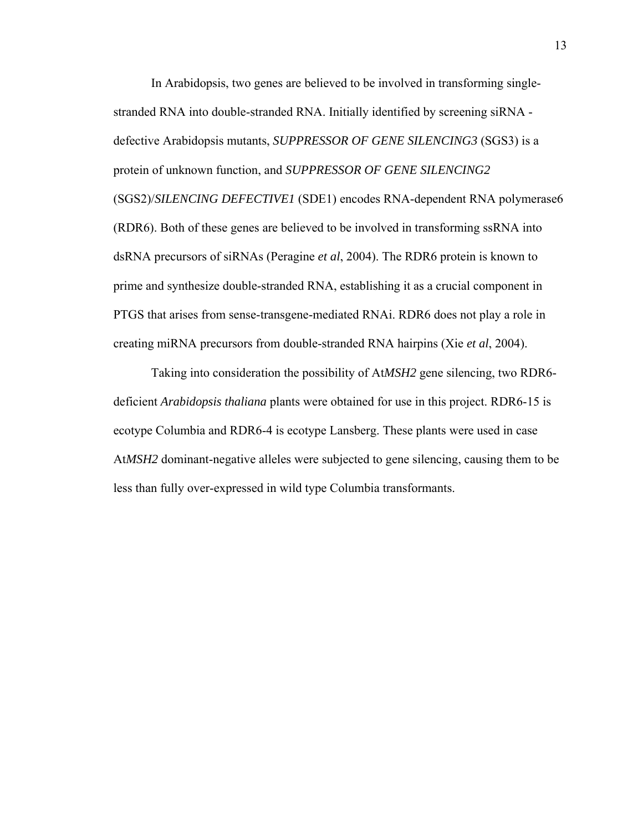In Arabidopsis, two genes are believed to be involved in transforming singlestranded RNA into double-stranded RNA. Initially identified by screening siRNA defective Arabidopsis mutants, *SUPPRESSOR OF GENE SILENCING3* (SGS3) is a protein of unknown function, and *SUPPRESSOR OF GENE SILENCING2* (SGS2)/*SILENCING DEFECTIVE1* (SDE1) encodes RNA-dependent RNA polymerase6 (RDR6). Both of these genes are believed to be involved in transforming ssRNA into dsRNA precursors of siRNAs (Peragine *et al*, 2004). The RDR6 protein is known to prime and synthesize double-stranded RNA, establishing it as a crucial component in PTGS that arises from sense-transgene-mediated RNAi. RDR6 does not play a role in creating miRNA precursors from double-stranded RNA hairpins (Xie *et al*, 2004).

Taking into consideration the possibility of At*MSH2* gene silencing, two RDR6 deficient *Arabidopsis thaliana* plants were obtained for use in this project. RDR6-15 is ecotype Columbia and RDR6-4 is ecotype Lansberg. These plants were used in case At*MSH2* dominant-negative alleles were subjected to gene silencing, causing them to be less than fully over-expressed in wild type Columbia transformants.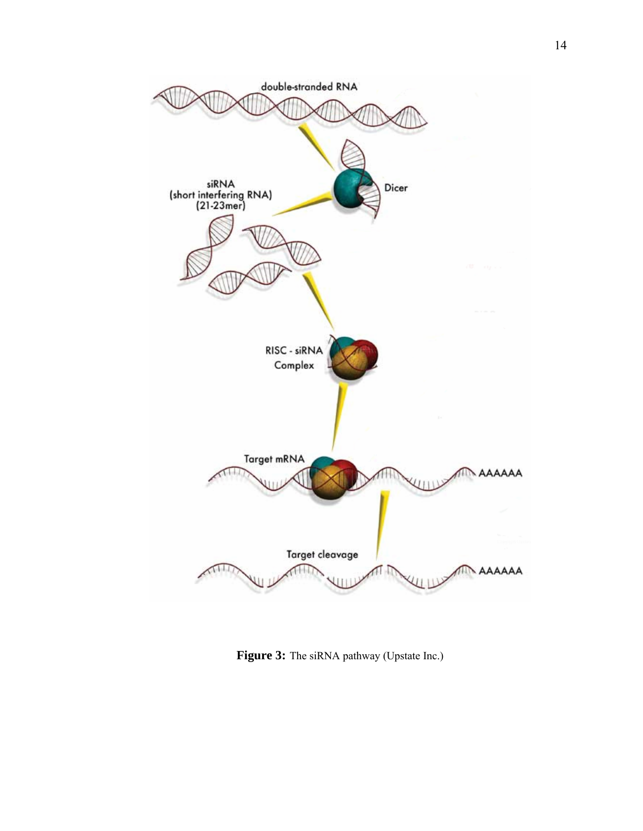

Figure 3: The siRNA pathway (Upstate Inc.)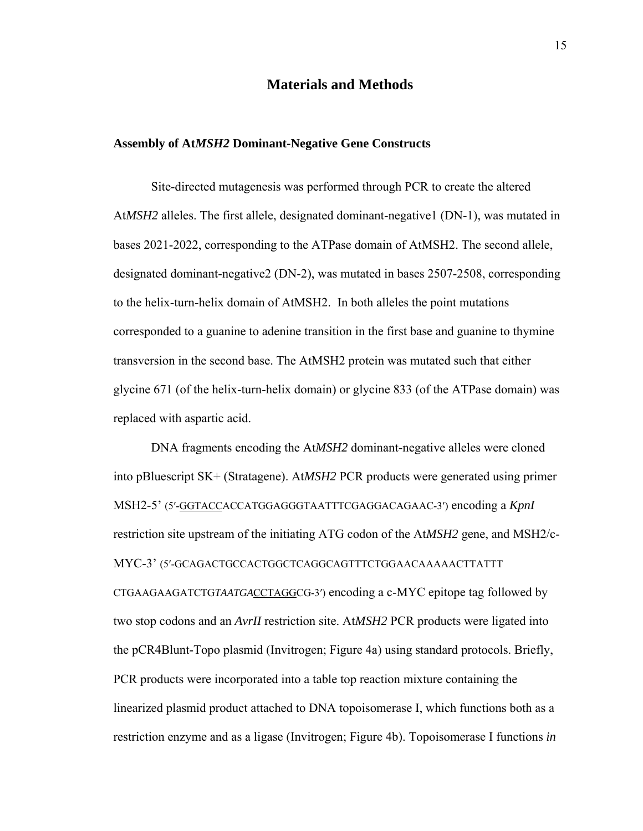### **Materials and Methods**

#### **Assembly of At***MSH2* **Dominant-Negative Gene Constructs**

Site-directed mutagenesis was performed through PCR to create the altered At*MSH2* alleles. The first allele, designated dominant-negative1 (DN-1), was mutated in bases 2021-2022, corresponding to the ATPase domain of AtMSH2. The second allele, designated dominant-negative2 (DN-2), was mutated in bases 2507-2508, corresponding to the helix-turn-helix domain of AtMSH2. In both alleles the point mutations corresponded to a guanine to adenine transition in the first base and guanine to thymine transversion in the second base. The AtMSH2 protein was mutated such that either glycine 671 (of the helix-turn-helix domain) or glycine 833 (of the ATPase domain) was replaced with aspartic acid.

DNA fragments encoding the At*MSH2* dominant-negative alleles were cloned into pBluescript SK+ (Stratagene). At*MSH2* PCR products were generated using primer MSH2-5' (5′-GGTACCACCATGGAGGGTAATTTCGAGGACAGAAC-3′) encoding a *KpnI*  restriction site upstream of the initiating ATG codon of the At*MSH2* gene, and MSH2/c-MYC-3' (5′-GCAGACTGCCACTGGCTCAGGCAGTTTCTGGAACAAAAACTTATTT CTGAAGAAGATCTG*TAATGA*CCTAGGCG-3′) encoding a c-MYC epitope tag followed by two stop codons and an *AvrII* restriction site. At*MSH2* PCR products were ligated into the pCR4Blunt-Topo plasmid (Invitrogen; Figure 4a) using standard protocols. Briefly, PCR products were incorporated into a table top reaction mixture containing the linearized plasmid product attached to DNA topoisomerase I, which functions both as a restriction enzyme and as a ligase (Invitrogen; Figure 4b). Topoisomerase I functions *in*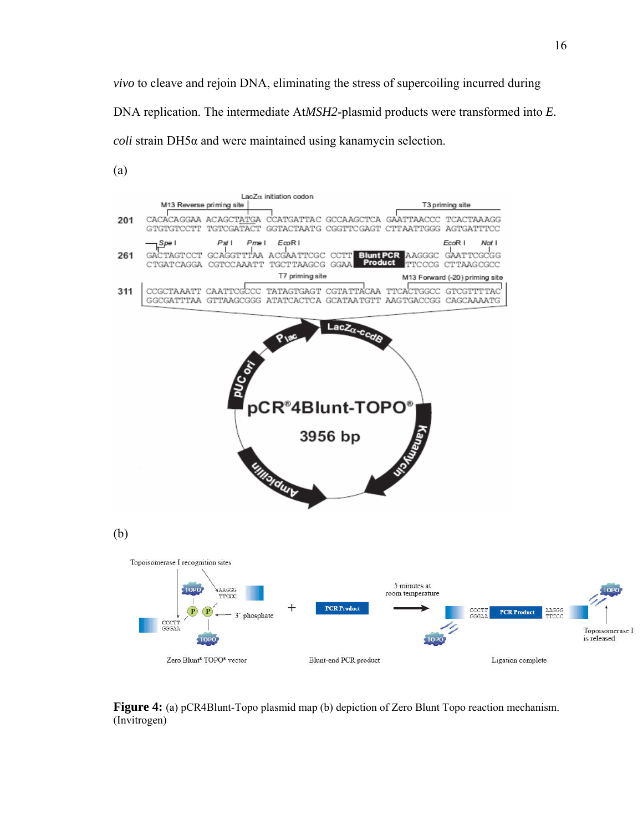*vivo* to cleave and rejoin DNA, eliminating the stress of supercoiling incurred during DNA replication. The intermediate At*MSH2*-plasmid products were transformed into *E. coli* strain DH5α and were maintained using kanamycin selection.



**Figure 4:** (a) pCR4Blunt-Topo plasmid map (b) depiction of Zero Blunt Topo reaction mechanism. (Invitrogen)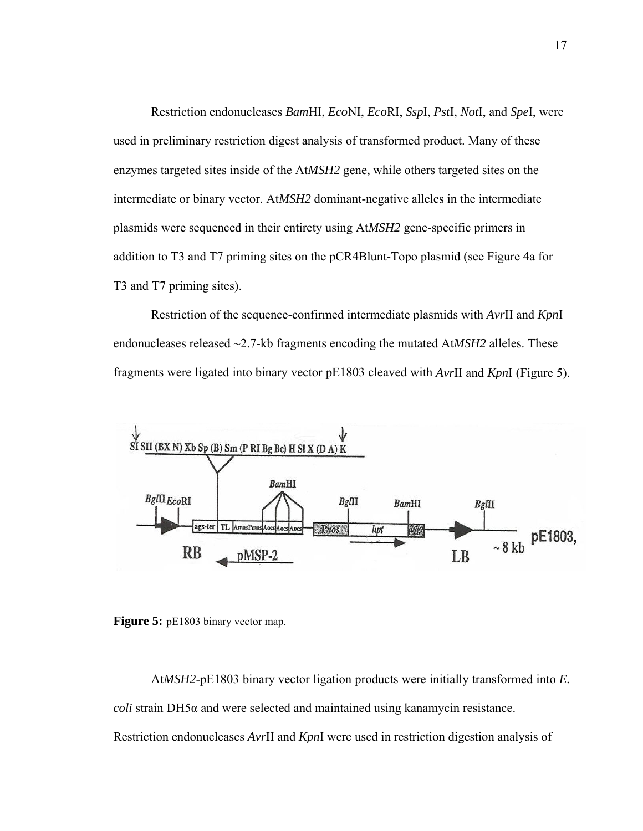Restriction endonucleases *Bam*HI, *Eco*NI, *Eco*RI, *Ssp*I, *Pst*I, *Not*I, and *Spe*I, were used in preliminary restriction digest analysis of transformed product. Many of these enzymes targeted sites inside of the At*MSH2* gene, while others targeted sites on the intermediate or binary vector. At*MSH2* dominant-negative alleles in the intermediate plasmids were sequenced in their entirety using At*MSH2* gene-specific primers in addition to T3 and T7 priming sites on the pCR4Blunt-Topo plasmid (see Figure 4a for T3 and T7 priming sites).

Restriction of the sequence-confirmed intermediate plasmids with *Avr*II and *Kpn*I endonucleases released ~2.7-kb fragments encoding the mutated At*MSH2* alleles. These fragments were ligated into binary vector pE1803 cleaved with *Avr*II and *Kpn*I (Figure 5).



Figure 5: pE1803 binary vector map.

At*MSH2*-pE1803 binary vector ligation products were initially transformed into *E. coli* strain DH5α and were selected and maintained using kanamycin resistance. Restriction endonucleases *Avr*II and *Kpn*I were used in restriction digestion analysis of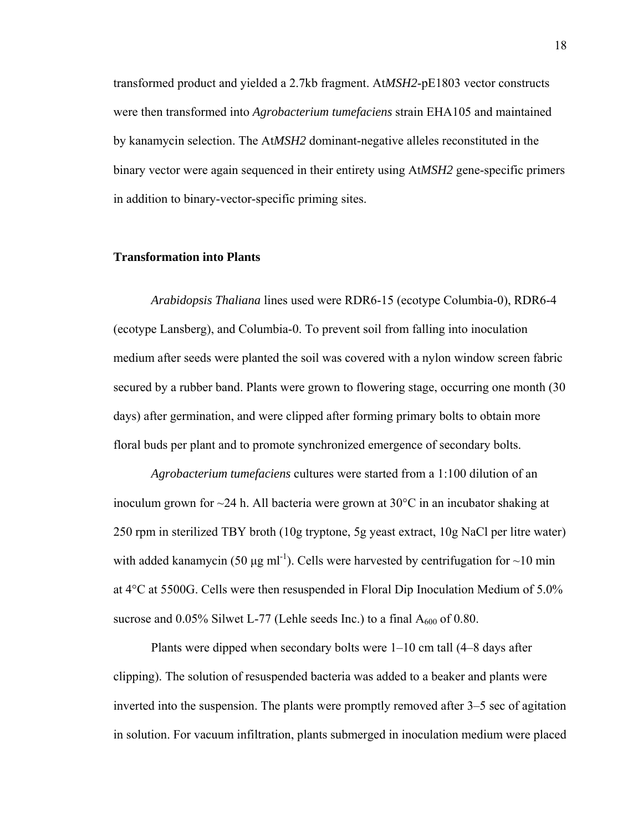transformed product and yielded a 2.7kb fragment. At*MSH2*-pE1803 vector constructs were then transformed into *Agrobacterium tumefaciens* strain EHA105 and maintained by kanamycin selection. The At*MSH2* dominant-negative alleles reconstituted in the binary vector were again sequenced in their entirety using At*MSH2* gene-specific primers in addition to binary-vector-specific priming sites.

#### **Transformation into Plants**

*Arabidopsis Thaliana* lines used were RDR6-15 (ecotype Columbia-0), RDR6-4 (ecotype Lansberg), and Columbia-0. To prevent soil from falling into inoculation medium after seeds were planted the soil was covered with a nylon window screen fabric secured by a rubber band. Plants were grown to flowering stage, occurring one month (30 days) after germination, and were clipped after forming primary bolts to obtain more floral buds per plant and to promote synchronized emergence of secondary bolts.

*Agrobacterium tumefaciens* cultures were started from a 1:100 dilution of an inoculum grown for  $\sim$ 24 h. All bacteria were grown at 30 $\degree$ C in an incubator shaking at 250 rpm in sterilized TBY broth (10g tryptone, 5g yeast extract, 10g NaCl per litre water) with added kanamycin (50 μg ml<sup>-1</sup>). Cells were harvested by centrifugation for  $\sim$ 10 min at 4°C at 5500G. Cells were then resuspended in Floral Dip Inoculation Medium of 5.0% sucrose and  $0.05\%$  Silwet L-77 (Lehle seeds Inc.) to a final  $A_{600}$  of 0.80.

Plants were dipped when secondary bolts were 1–10 cm tall (4–8 days after clipping). The solution of resuspended bacteria was added to a beaker and plants were inverted into the suspension. The plants were promptly removed after 3–5 sec of agitation in solution. For vacuum infiltration, plants submerged in inoculation medium were placed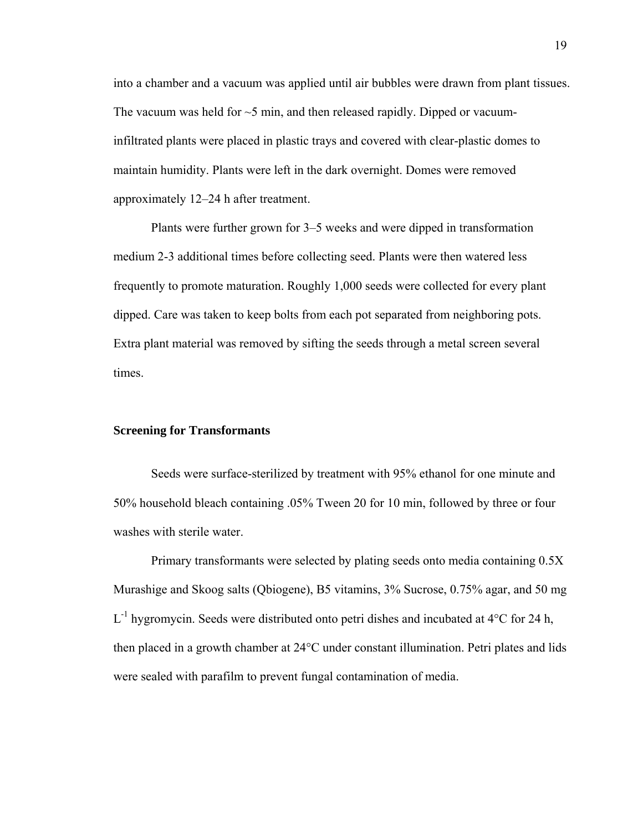into a chamber and a vacuum was applied until air bubbles were drawn from plant tissues. The vacuum was held for  $\sim$ 5 min, and then released rapidly. Dipped or vacuuminfiltrated plants were placed in plastic trays and covered with clear-plastic domes to maintain humidity. Plants were left in the dark overnight. Domes were removed approximately 12–24 h after treatment.

Plants were further grown for 3–5 weeks and were dipped in transformation medium 2-3 additional times before collecting seed. Plants were then watered less frequently to promote maturation. Roughly 1,000 seeds were collected for every plant dipped. Care was taken to keep bolts from each pot separated from neighboring pots. Extra plant material was removed by sifting the seeds through a metal screen several times.

#### **Screening for Transformants**

Seeds were surface-sterilized by treatment with 95% ethanol for one minute and 50% household bleach containing .05% Tween 20 for 10 min, followed by three or four washes with sterile water.

Primary transformants were selected by plating seeds onto media containing 0.5X Murashige and Skoog salts (Qbiogene), B5 vitamins, 3% Sucrose, 0.75% agar, and 50 mg  $L^{-1}$  hygromycin. Seeds were distributed onto petri dishes and incubated at 4 $\degree$ C for 24 h, then placed in a growth chamber at 24°C under constant illumination. Petri plates and lids were sealed with parafilm to prevent fungal contamination of media.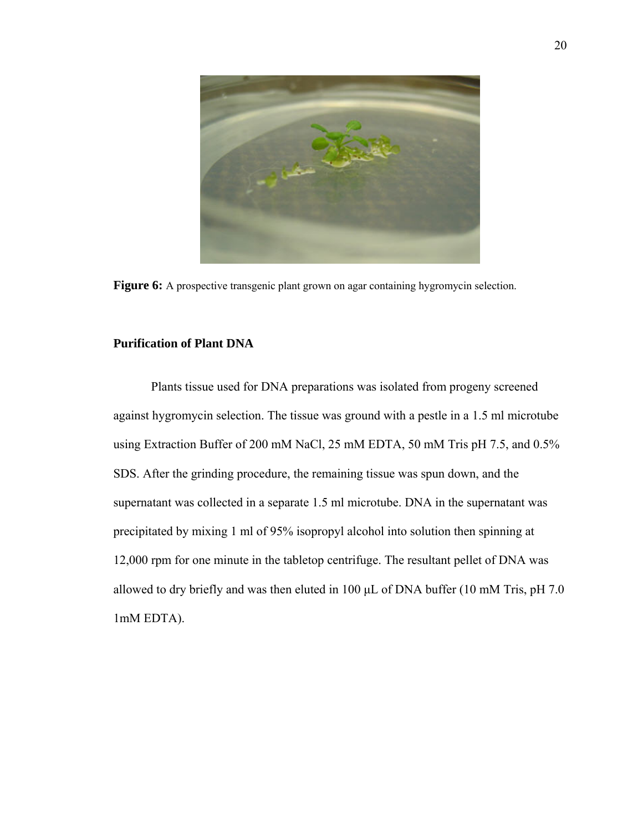

Figure 6: A prospective transgenic plant grown on agar containing hygromycin selection.

### **Purification of Plant DNA**

Plants tissue used for DNA preparations was isolated from progeny screened against hygromycin selection. The tissue was ground with a pestle in a 1.5 ml microtube using Extraction Buffer of 200 mM NaCl, 25 mM EDTA, 50 mM Tris pH 7.5, and 0.5% SDS. After the grinding procedure, the remaining tissue was spun down, and the supernatant was collected in a separate 1.5 ml microtube. DNA in the supernatant was precipitated by mixing 1 ml of 95% isopropyl alcohol into solution then spinning at 12,000 rpm for one minute in the tabletop centrifuge. The resultant pellet of DNA was allowed to dry briefly and was then eluted in 100  $\mu$ L of DNA buffer (10 mM Tris, pH 7.0) 1mM EDTA).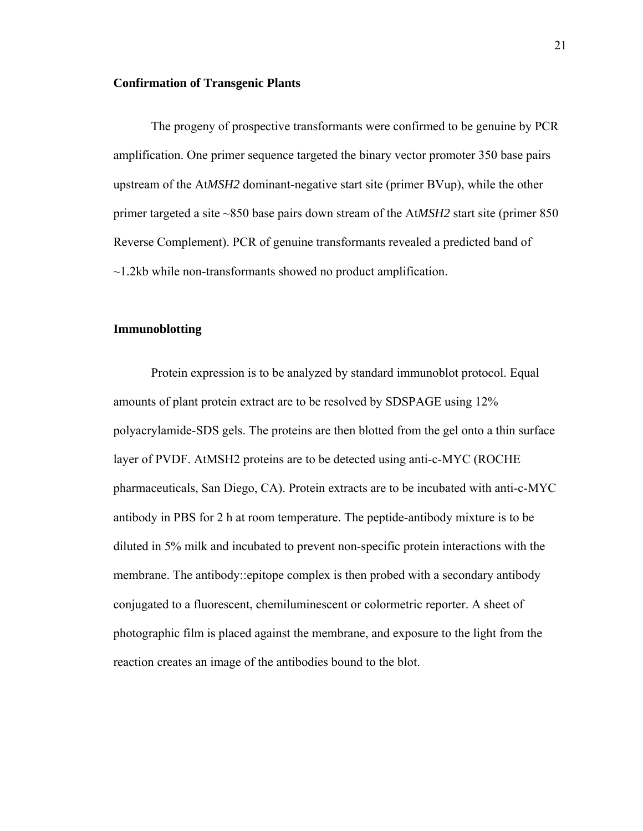#### **Confirmation of Transgenic Plants**

The progeny of prospective transformants were confirmed to be genuine by PCR amplification. One primer sequence targeted the binary vector promoter 350 base pairs upstream of the At*MSH2* dominant-negative start site (primer BVup), while the other primer targeted a site ~850 base pairs down stream of the At*MSH2* start site (primer 850 Reverse Complement). PCR of genuine transformants revealed a predicted band of  $\sim$ 1.2kb while non-transformants showed no product amplification.

#### **Immunoblotting**

Protein expression is to be analyzed by standard immunoblot protocol. Equal amounts of plant protein extract are to be resolved by SDSPAGE using 12% polyacrylamide-SDS gels. The proteins are then blotted from the gel onto a thin surface layer of PVDF. AtMSH2 proteins are to be detected using anti-c-MYC (ROCHE pharmaceuticals, San Diego, CA). Protein extracts are to be incubated with anti-c-MYC antibody in PBS for 2 h at room temperature. The peptide-antibody mixture is to be diluted in 5% milk and incubated to prevent non-specific protein interactions with the membrane. The antibody::epitope complex is then probed with a secondary antibody conjugated to a fluorescent, chemiluminescent or colormetric reporter. A sheet of photographic film is placed against the membrane, and exposure to the light from the reaction creates an image of the antibodies bound to the blot.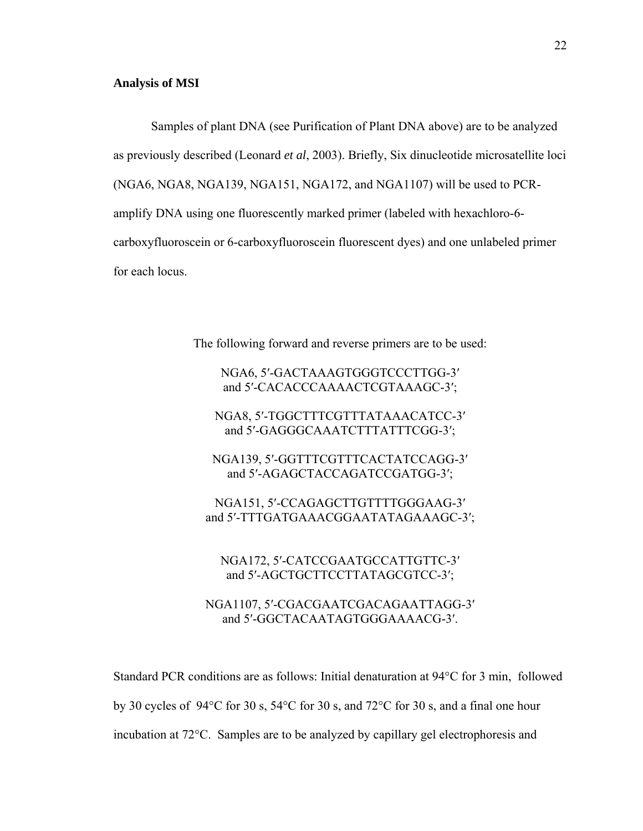### **Analysis of MSI**

Samples of plant DNA (see Purification of Plant DNA above) are to be analyzed as previously described (Leonard *et al*, 2003). Briefly, Six dinucleotide microsatellite loci (NGA6, NGA8, NGA139, NGA151, NGA172, and NGA1107) will be used to PCRamplify DNA using one fluorescently marked primer (labeled with hexachloro-6 carboxyfluoroscein or 6-carboxyfluoroscein fluorescent dyes) and one unlabeled primer for each locus.

The following forward and reverse primers are to be used:

## NGA6, 5′-GACTAAAGTGGGTCCCTTGG-3′ and 5′-CACACCCAAAACTCGTAAAGC-3′;

NGA8, 5′-TGGCTTTCGTTTATAAACATCC-3′ and 5′-GAGGGCAAATCTTTATTTCGG-3′;

NGA139, 5′-GGTTTCGTTTCACTATCCAGG-3′ and 5′-AGAGCTACCAGATCCGATGG-3′;

NGA151, 5′-CCAGAGCTTGTTTTGGGAAG-3′ and 5′-TTTGATGAAACGGAATATAGAAAGC-3′;

NGA172, 5′-CATCCGAATGCCATTGTTC-3′ and 5′-AGCTGCTTCCTTATAGCGTCC-3′;

NGA1107, 5′-CGACGAATCGACAGAATTAGG-3′ and 5′-GGCTACAATAGTGGGAAAACG-3′.

Standard PCR conditions are as follows: Initial denaturation at 94°C for 3 min, followed by 30 cycles of 94°C for 30 s, 54°C for 30 s, and 72°C for 30 s, and a final one hour incubation at 72°C. Samples are to be analyzed by capillary gel electrophoresis and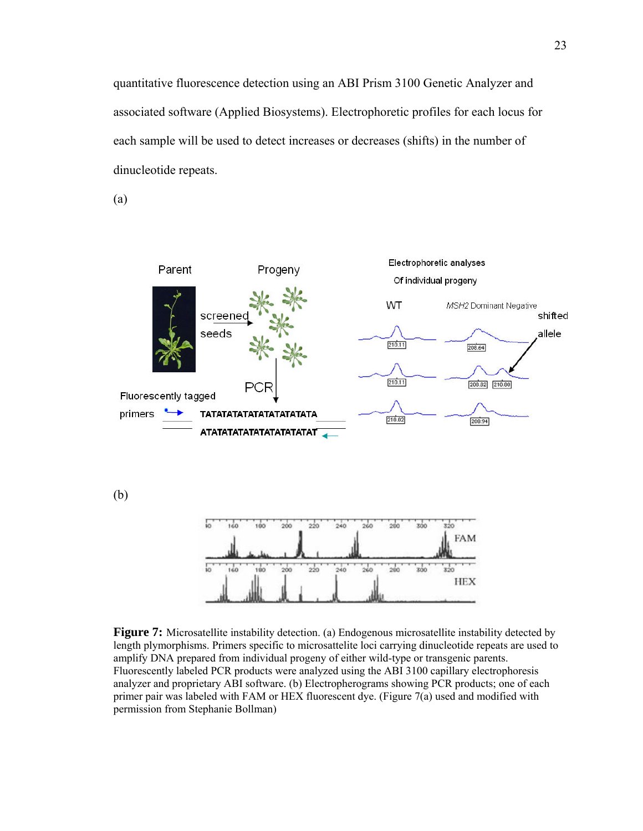quantitative fluorescence detection using an ABI Prism 3100 Genetic Analyzer and associated software (Applied Biosystems). Electrophoretic profiles for each locus for each sample will be used to detect increases or decreases (shifts) in the number of dinucleotide repeats.

(a)



**Figure 7:** Microsatellite instability detection. (a) Endogenous microsatellite instability detected by length plymorphisms. Primers specific to microsattelite loci carrying dinucleotide repeats are used to amplify DNA prepared from individual progeny of either wild-type or transgenic parents. Fluorescently labeled PCR products were analyzed using the ABI 3100 capillary electrophoresis analyzer and proprietary ABI software. (b) Electropherograms showing PCR products; one of each primer pair was labeled with FAM or HEX fluorescent dye. (Figure 7(a) used and modified with permission from Stephanie Bollman)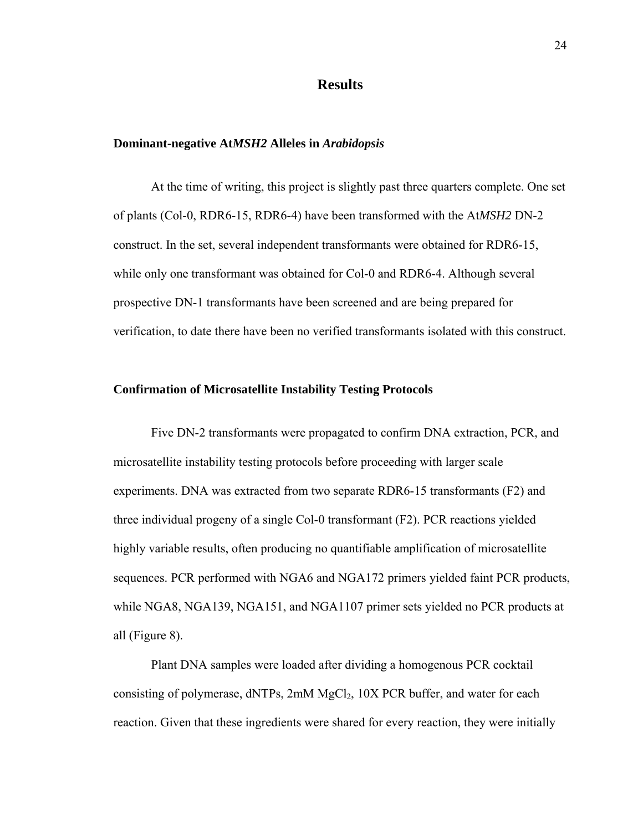### **Results**

#### **Dominant-negative At***MSH2* **Alleles in** *Arabidopsis*

At the time of writing, this project is slightly past three quarters complete. One set of plants (Col-0, RDR6-15, RDR6-4) have been transformed with the At*MSH2* DN-2 construct. In the set, several independent transformants were obtained for RDR6-15, while only one transformant was obtained for Col-0 and RDR6-4. Although several prospective DN-1 transformants have been screened and are being prepared for verification, to date there have been no verified transformants isolated with this construct.

#### **Confirmation of Microsatellite Instability Testing Protocols**

Five DN-2 transformants were propagated to confirm DNA extraction, PCR, and microsatellite instability testing protocols before proceeding with larger scale experiments. DNA was extracted from two separate RDR6-15 transformants (F2) and three individual progeny of a single Col-0 transformant (F2). PCR reactions yielded highly variable results, often producing no quantifiable amplification of microsatellite sequences. PCR performed with NGA6 and NGA172 primers yielded faint PCR products, while NGA8, NGA139, NGA151, and NGA1107 primer sets yielded no PCR products at all (Figure 8).

Plant DNA samples were loaded after dividing a homogenous PCR cocktail consisting of polymerase,  $dNTPs$ ,  $2mM MgCl<sub>2</sub>$ ,  $10X PCR$  buffer, and water for each reaction. Given that these ingredients were shared for every reaction, they were initially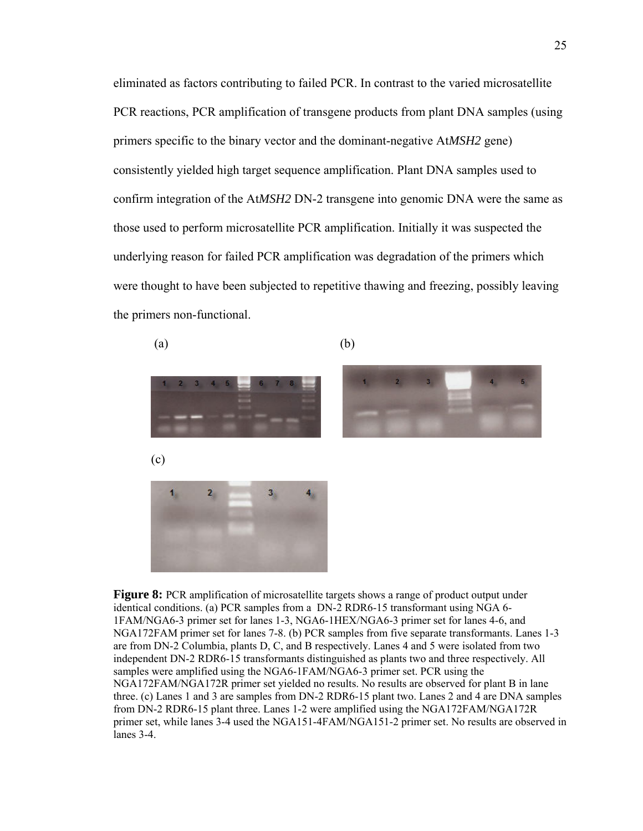eliminated as factors contributing to failed PCR. In contrast to the varied microsatellite PCR reactions, PCR amplification of transgene products from plant DNA samples (using primers specific to the binary vector and the dominant-negative At*MSH2* gene) consistently yielded high target sequence amplification. Plant DNA samples used to confirm integration of the At*MSH2* DN-2 transgene into genomic DNA were the same as those used to perform microsatellite PCR amplification. Initially it was suspected the underlying reason for failed PCR amplification was degradation of the primers which were thought to have been subjected to repetitive thawing and freezing, possibly leaving the primers non-functional.

 $(a)$  (b)





(c)



**Figure 8:** PCR amplification of microsatellite targets shows a range of product output under identical conditions. (a) PCR samples from a DN-2 RDR6-15 transformant using NGA 6- 1FAM/NGA6-3 primer set for lanes 1-3, NGA6-1HEX/NGA6-3 primer set for lanes 4-6, and NGA172FAM primer set for lanes 7-8. (b) PCR samples from five separate transformants. Lanes 1-3 are from DN-2 Columbia, plants D, C, and B respectively. Lanes 4 and 5 were isolated from two independent DN-2 RDR6-15 transformants distinguished as plants two and three respectively. All samples were amplified using the NGA6-1FAM/NGA6-3 primer set. PCR using the NGA172FAM/NGA172R primer set yielded no results. No results are observed for plant B in lane three. (c) Lanes 1 and 3 are samples from DN-2 RDR6-15 plant two. Lanes 2 and 4 are DNA samples from DN-2 RDR6-15 plant three. Lanes 1-2 were amplified using the NGA172FAM/NGA172R primer set, while lanes 3-4 used the NGA151-4FAM/NGA151-2 primer set. No results are observed in lanes 3-4.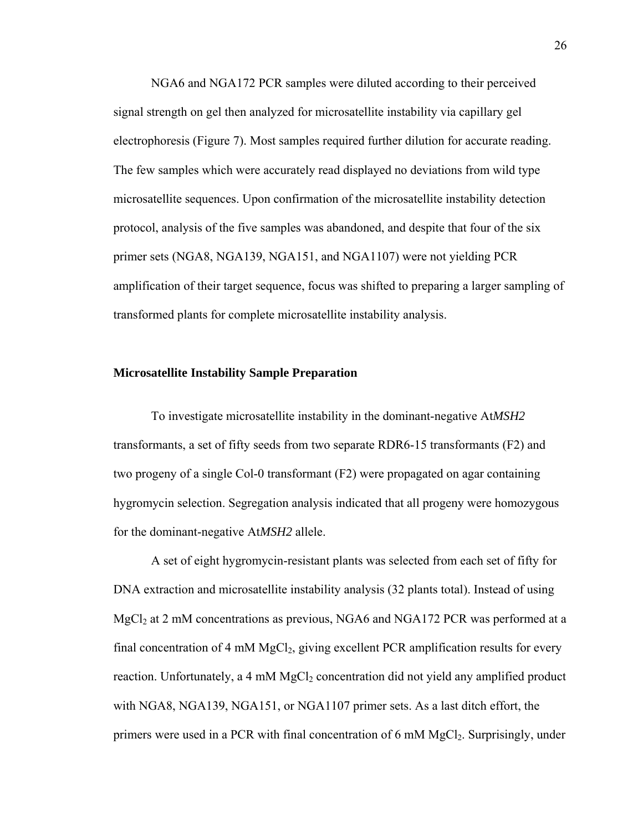NGA6 and NGA172 PCR samples were diluted according to their perceived signal strength on gel then analyzed for microsatellite instability via capillary gel electrophoresis (Figure 7). Most samples required further dilution for accurate reading. The few samples which were accurately read displayed no deviations from wild type microsatellite sequences. Upon confirmation of the microsatellite instability detection protocol, analysis of the five samples was abandoned, and despite that four of the six primer sets (NGA8, NGA139, NGA151, and NGA1107) were not yielding PCR amplification of their target sequence, focus was shifted to preparing a larger sampling of transformed plants for complete microsatellite instability analysis.

#### **Microsatellite Instability Sample Preparation**

To investigate microsatellite instability in the dominant-negative At*MSH2* transformants, a set of fifty seeds from two separate RDR6-15 transformants (F2) and two progeny of a single Col-0 transformant (F2) were propagated on agar containing hygromycin selection. Segregation analysis indicated that all progeny were homozygous for the dominant-negative At*MSH2* allele.

A set of eight hygromycin-resistant plants was selected from each set of fifty for DNA extraction and microsatellite instability analysis (32 plants total). Instead of using  $MgCl<sub>2</sub>$  at 2 mM concentrations as previous, NGA6 and NGA172 PCR was performed at a final concentration of 4 mM  $MgCl<sub>2</sub>$ , giving excellent PCR amplification results for every reaction. Unfortunately, a  $4 \text{ mM } MgCl<sub>2</sub>$  concentration did not yield any amplified product with NGA8, NGA139, NGA151, or NGA1107 primer sets. As a last ditch effort, the primers were used in a PCR with final concentration of 6 mM MgCl2. Surprisingly, under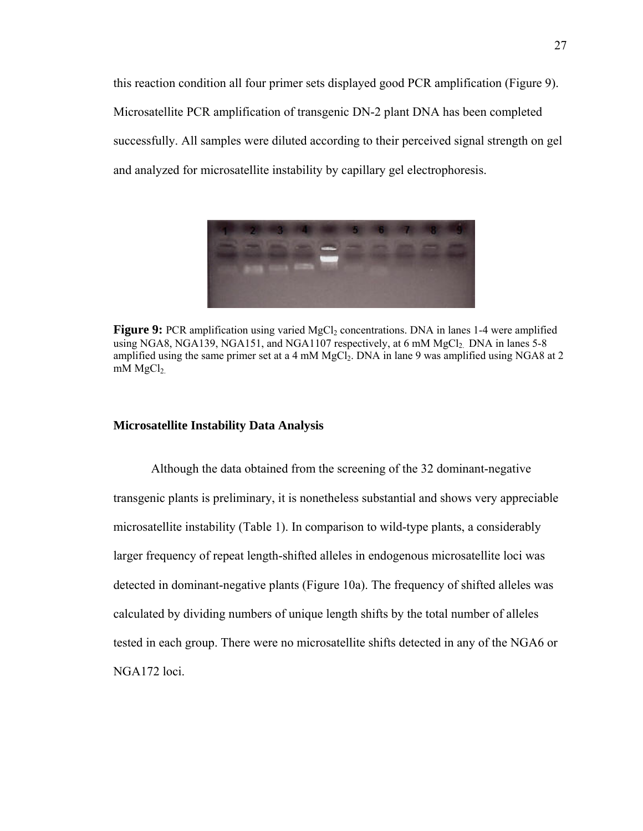this reaction condition all four primer sets displayed good PCR amplification (Figure 9). Microsatellite PCR amplification of transgenic DN-2 plant DNA has been completed successfully. All samples were diluted according to their perceived signal strength on gel and analyzed for microsatellite instability by capillary gel electrophoresis.



**Figure 9:** PCR amplification using varied MgCl<sub>2</sub> concentrations. DNA in lanes 1-4 were amplified using NGA8, NGA139, NGA151, and NGA1107 respectively, at 6 mM MgCl<sub>2</sub>. DNA in lanes 5-8 amplified using the same primer set at a 4 mM MgCl<sub>2</sub>. DNA in lane 9 was amplified using NGA8 at 2 mM  $MgCl<sub>2</sub>$ .

### **Microsatellite Instability Data Analysis**

Although the data obtained from the screening of the 32 dominant-negative transgenic plants is preliminary, it is nonetheless substantial and shows very appreciable microsatellite instability (Table 1). In comparison to wild-type plants, a considerably larger frequency of repeat length-shifted alleles in endogenous microsatellite loci was detected in dominant-negative plants (Figure 10a). The frequency of shifted alleles was calculated by dividing numbers of unique length shifts by the total number of alleles tested in each group. There were no microsatellite shifts detected in any of the NGA6 or NGA172 loci.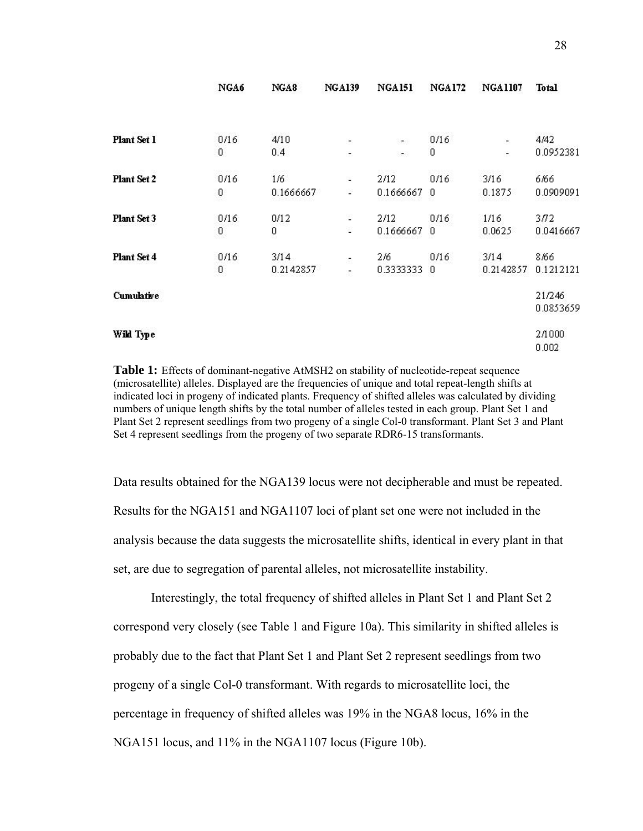|             | NGA6     | NGA8      | <b>NGA139</b> | <b>NGA151</b> | <b>NGA172</b> | <b>NGA1107</b>           | <b>Total</b> |
|-------------|----------|-----------|---------------|---------------|---------------|--------------------------|--------------|
|             |          |           |               |               |               |                          |              |
| Plant Set 1 | 0/16     | 4/10      | ÷,            | a.            | 0/16          | ۰                        | 4/42         |
|             | 0        | 0.4       | ۳             | ۰             | 0             | $\overline{\phantom{0}}$ | 0.0952381    |
| Plant Set 2 | 0/16     | 1/6       | ۷             | 2/12          | 0/16          | 3/16                     | 6/66         |
|             | 0        | 0.1666667 | u)            | 0.1666667     | 0             | 0.1875                   | 0.0909091    |
| Plant Set 3 | 0/16     | 0/12      | ö             | 2/12          | 0/16          | 1/16                     | 3/72         |
|             | $\bf{0}$ | 0         | ċ,            | 0.1666667     | 0             | 0.0625                   | 0.0416667    |
| Plant Set 4 | 0/16     | 3/14      | Ø,            | 2/6           | 0/16          | 3/14                     | 8.66         |
|             | 0        | 0.2142857 | ÷.            | 0.3333333     | 0             | 0.2142857                | 0.1212121    |
| Cumulative  |          |           |               |               |               |                          | 21/246       |
|             |          |           |               |               |               |                          | 0.0853659    |
| Wild Type   |          |           |               |               |               |                          | 2/1000       |
|             |          |           |               |               |               |                          | 0.002        |

**Table 1:** Effects of dominant-negative AtMSH2 on stability of nucleotide-repeat sequence (microsatellite) alleles. Displayed are the frequencies of unique and total repeat-length shifts at indicated loci in progeny of indicated plants. Frequency of shifted alleles was calculated by dividing numbers of unique length shifts by the total number of alleles tested in each group. Plant Set 1 and Plant Set 2 represent seedlings from two progeny of a single Col-0 transformant. Plant Set 3 and Plant Set 4 represent seedlings from the progeny of two separate RDR6-15 transformants.

Data results obtained for the NGA139 locus were not decipherable and must be repeated. Results for the NGA151 and NGA1107 loci of plant set one were not included in the analysis because the data suggests the microsatellite shifts, identical in every plant in that set, are due to segregation of parental alleles, not microsatellite instability.

Interestingly, the total frequency of shifted alleles in Plant Set 1 and Plant Set 2 correspond very closely (see Table 1 and Figure 10a). This similarity in shifted alleles is probably due to the fact that Plant Set 1 and Plant Set 2 represent seedlings from two progeny of a single Col-0 transformant. With regards to microsatellite loci, the percentage in frequency of shifted alleles was 19% in the NGA8 locus, 16% in the NGA151 locus, and 11% in the NGA1107 locus (Figure 10b).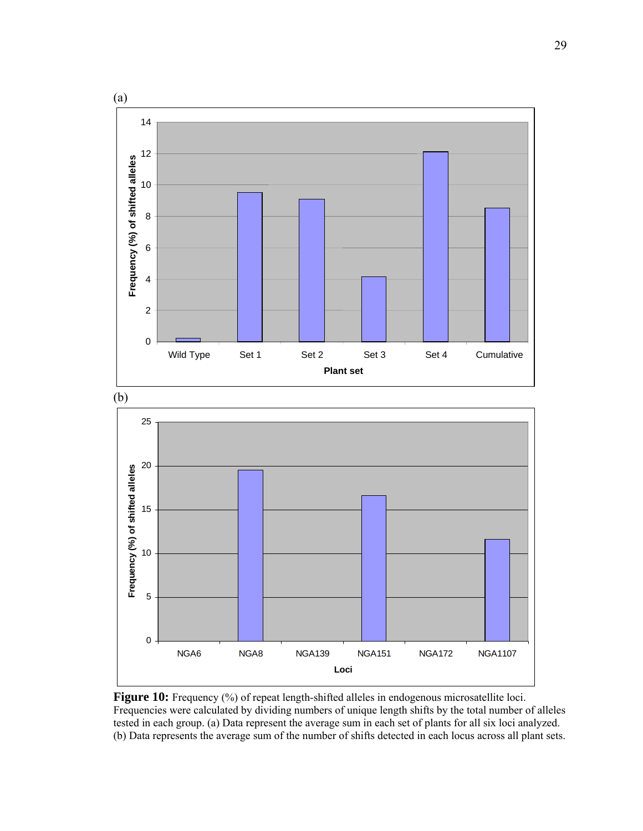

Figure 10: Frequency (%) of repeat length-shifted alleles in endogenous microsatellite loci. Frequencies were calculated by dividing numbers of unique length shifts by the total number of alleles tested in each group. (a) Data represent the average sum in each set of plants for all six loci analyzed. (b) Data represents the average sum of the number of shifts detected in each locus across all plant sets.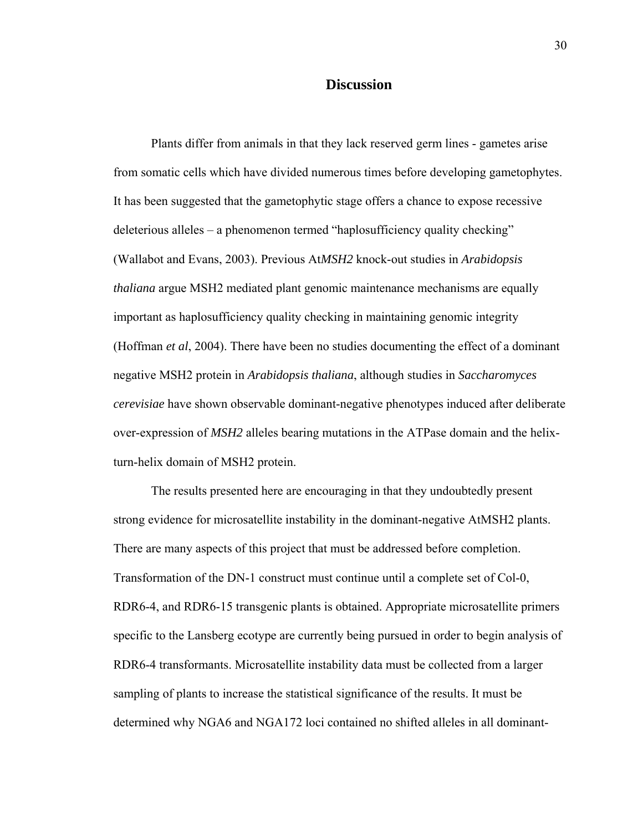### **Discussion**

Plants differ from animals in that they lack reserved germ lines - gametes arise from somatic cells which have divided numerous times before developing gametophytes. It has been suggested that the gametophytic stage offers a chance to expose recessive deleterious alleles – a phenomenon termed "haplosufficiency quality checking" (Wallabot and Evans, 2003). Previous At*MSH2* knock-out studies in *Arabidopsis thaliana* argue MSH2 mediated plant genomic maintenance mechanisms are equally important as haplosufficiency quality checking in maintaining genomic integrity (Hoffman *et al*, 2004). There have been no studies documenting the effect of a dominant negative MSH2 protein in *Arabidopsis thaliana*, although studies in *Saccharomyces cerevisiae* have shown observable dominant-negative phenotypes induced after deliberate over-expression of *MSH2* alleles bearing mutations in the ATPase domain and the helixturn-helix domain of MSH2 protein.

The results presented here are encouraging in that they undoubtedly present strong evidence for microsatellite instability in the dominant-negative AtMSH2 plants. There are many aspects of this project that must be addressed before completion. Transformation of the DN-1 construct must continue until a complete set of Col-0, RDR6-4, and RDR6-15 transgenic plants is obtained. Appropriate microsatellite primers specific to the Lansberg ecotype are currently being pursued in order to begin analysis of RDR6-4 transformants. Microsatellite instability data must be collected from a larger sampling of plants to increase the statistical significance of the results. It must be determined why NGA6 and NGA172 loci contained no shifted alleles in all dominant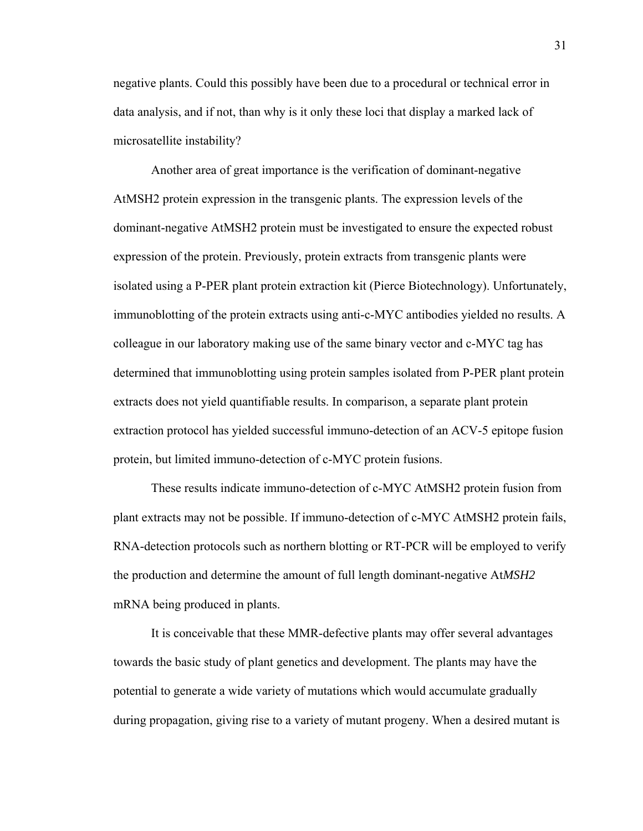negative plants. Could this possibly have been due to a procedural or technical error in data analysis, and if not, than why is it only these loci that display a marked lack of microsatellite instability?

Another area of great importance is the verification of dominant-negative AtMSH2 protein expression in the transgenic plants. The expression levels of the dominant-negative AtMSH2 protein must be investigated to ensure the expected robust expression of the protein. Previously, protein extracts from transgenic plants were isolated using a P-PER plant protein extraction kit (Pierce Biotechnology). Unfortunately, immunoblotting of the protein extracts using anti-c-MYC antibodies yielded no results. A colleague in our laboratory making use of the same binary vector and c-MYC tag has determined that immunoblotting using protein samples isolated from P-PER plant protein extracts does not yield quantifiable results. In comparison, a separate plant protein extraction protocol has yielded successful immuno-detection of an ACV-5 epitope fusion protein, but limited immuno-detection of c-MYC protein fusions.

These results indicate immuno-detection of c-MYC AtMSH2 protein fusion from plant extracts may not be possible. If immuno-detection of c-MYC AtMSH2 protein fails, RNA-detection protocols such as northern blotting or RT-PCR will be employed to verify the production and determine the amount of full length dominant-negative At*MSH2* mRNA being produced in plants.

 It is conceivable that these MMR-defective plants may offer several advantages towards the basic study of plant genetics and development. The plants may have the potential to generate a wide variety of mutations which would accumulate gradually during propagation, giving rise to a variety of mutant progeny. When a desired mutant is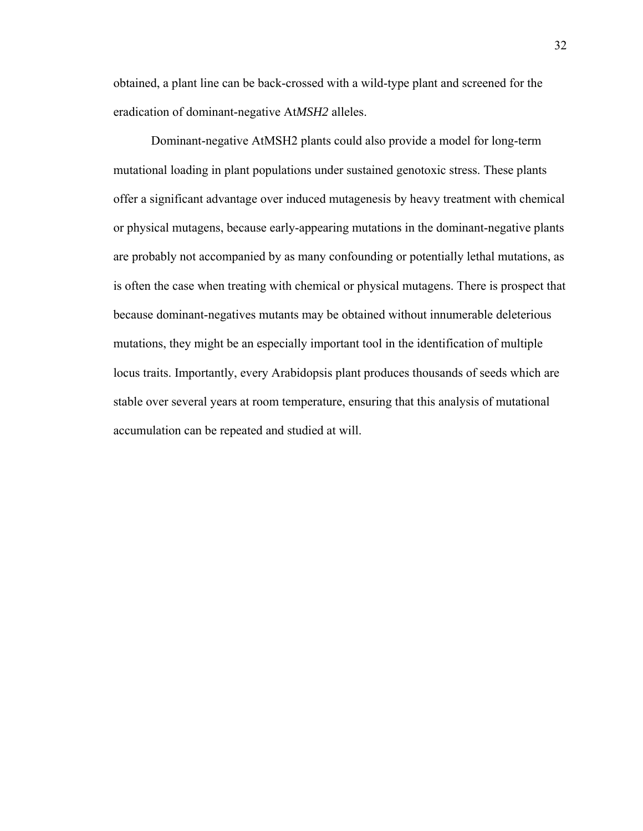obtained, a plant line can be back-crossed with a wild-type plant and screened for the eradication of dominant-negative At*MSH2* alleles.

Dominant-negative AtMSH2 plants could also provide a model for long-term mutational loading in plant populations under sustained genotoxic stress. These plants offer a significant advantage over induced mutagenesis by heavy treatment with chemical or physical mutagens, because early-appearing mutations in the dominant-negative plants are probably not accompanied by as many confounding or potentially lethal mutations, as is often the case when treating with chemical or physical mutagens. There is prospect that because dominant-negatives mutants may be obtained without innumerable deleterious mutations, they might be an especially important tool in the identification of multiple locus traits. Importantly, every Arabidopsis plant produces thousands of seeds which are stable over several years at room temperature, ensuring that this analysis of mutational accumulation can be repeated and studied at will.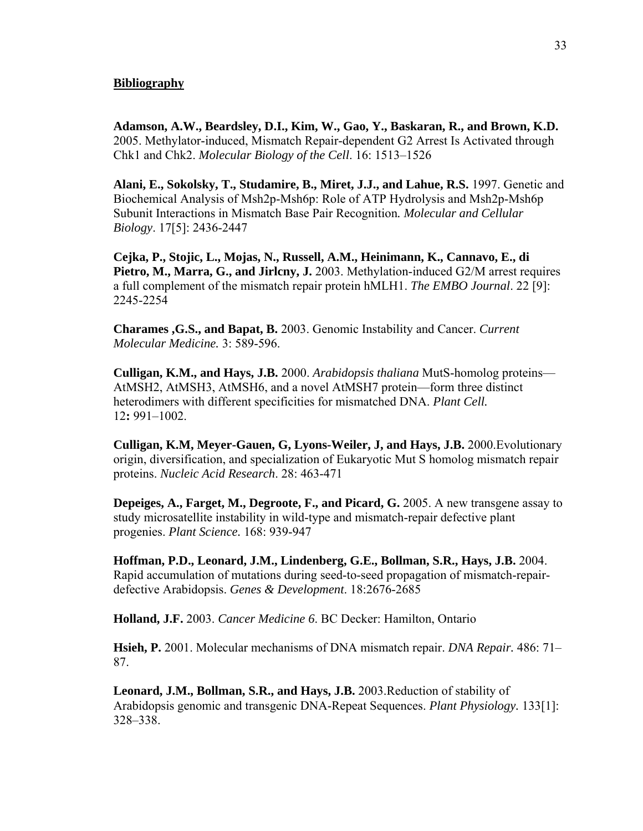#### **Bibliography**

**Adamson, A.W., Beardsley, D.I., Kim, W., Gao, Y., Baskaran, R., and Brown, K.D.** 2005. Methylator-induced, Mismatch Repair-dependent G2 Arrest Is Activated through Chk1 and Chk2. *Molecular Biology of the Cell*. 16: 1513–1526

**Alani, E., Sokolsky, T., Studamire, B., Miret, J.J., and Lahue, R.S.** 1997. Genetic and Biochemical Analysis of Msh2p-Msh6p: Role of ATP Hydrolysis and Msh2p-Msh6p Subunit Interactions in Mismatch Base Pair Recognition*. Molecular and Cellular Biology*. 17[5]: 2436-2447

**Cejka, P., Stojic, L., Mojas, N., Russell, A.M., Heinimann, K., Cannavo, E., di Pietro, M., Marra, G., and Jirlcny, J.** 2003. Methylation-induced G2/M arrest requires a full complement of the mismatch repair protein hMLH1. *The EMBO Journal*. 22 [9]: 2245-2254

**Charames ,G.S., and Bapat, B.** 2003. Genomic Instability and Cancer. *Current Molecular Medicine.* 3: 589-596.

**Culligan, K.M., and Hays, J.B.** 2000. *Arabidopsis thaliana* MutS-homolog proteins— AtMSH2, AtMSH3, AtMSH6, and a novel AtMSH7 protein—form three distinct heterodimers with different specificities for mismatched DNA. *Plant Cell.*  12**:** 991–1002.

**Culligan, K.M, Meyer-Gauen, G, Lyons-Weiler, J, and Hays, J.B.** 2000.Evolutionary origin, diversification, and specialization of Eukaryotic Mut S homolog mismatch repair proteins. *Nucleic Acid Research*. 28: 463-471

**Depeiges, A., Farget, M., Degroote, F., and Picard, G.** 2005. A new transgene assay to study microsatellite instability in wild-type and mismatch-repair defective plant progenies. *Plant Science.* 168: 939-947

**Hoffman, P.D., Leonard, J.M., Lindenberg, G.E., Bollman, S.R., Hays, J.B.** 2004. Rapid accumulation of mutations during seed-to-seed propagation of mismatch-repairdefective Arabidopsis. *Genes & Development*. 18:2676-2685

**Holland, J.F.** 2003. *Cancer Medicine 6*. BC Decker: Hamilton, Ontario

**Hsieh, P.** 2001. Molecular mechanisms of DNA mismatch repair. *DNA Repair.* 486: 71– 87.

**Leonard, J.M., Bollman, S.R., and Hays, J.B.** 2003.Reduction of stability of Arabidopsis genomic and transgenic DNA-Repeat Sequences. *Plant Physiology.* 133[1]: 328–338.